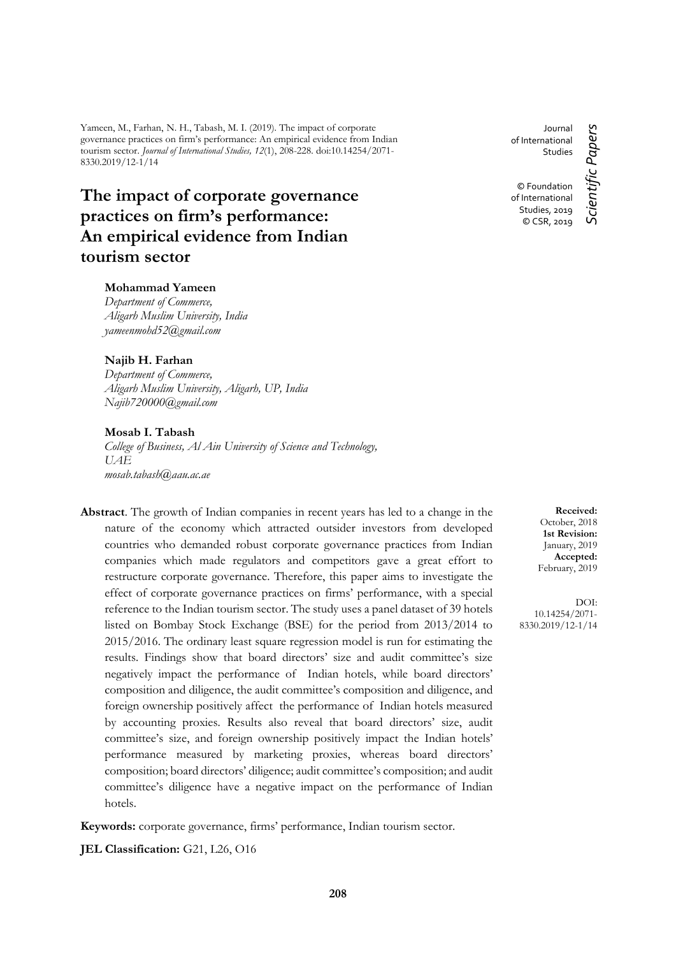Yameen, M., Farhan, N. H., Tabash, M. I. (2019). The impact of corporate governance practices on firm's performance: An empirical evidence from Indian tourism sector. *Journal of International Studies, 12*(1), 208-228. doi:10.14254/2071- 8330.2019/12-1/14

# **The impact of corporate governance practices on firm's performance: An empirical evidence from Indian tourism sector**

### **Mohammad Yameen**

*Department of Commerce, Aligarh Muslim University, India yameenmohd52@gmail.com*

### **Najib H. Farhan**

*Department of Commerce, Aligarh Muslim University, Aligarh, UP, India Najib720000@gmail.com*

#### **Mosab I. Tabash**

*College of Business, Al Ain University of Science and Technology, UAE mosab.tabash@aau.ac.ae*

**Abstract**. The growth of Indian companies in recent years has led to a change in the nature of the economy which attracted outsider investors from developed countries who demanded robust corporate governance practices from Indian companies which made regulators and competitors gave a great effort to restructure corporate governance. Therefore, this paper aims to investigate the effect of corporate governance practices on firms' performance, with a special reference to the Indian tourism sector. The study uses a panel dataset of 39 hotels listed on Bombay Stock Exchange (BSE) for the period from 2013/2014 to 2015/2016. The ordinary least square regression model is run for estimating the results. Findings show that board directors' size and audit committee's size negatively impact the performance of Indian hotels, while board directors' composition and diligence, the audit committee's composition and diligence, and foreign ownership positively affect the performance of Indian hotels measured by accounting proxies. Results also reveal that board directors' size, audit committee's size, and foreign ownership positively impact the Indian hotels' performance measured by marketing proxies, whereas board directors' composition; board directors' diligence; audit committee's composition; and audit committee's diligence have a negative impact on the performance of Indian hotels.

**Keywords:** corporate governance, firms' performance, Indian tourism sector.

**JEL Classification:** G21, L26, O16

Journal of International Studies

© Foundation of International Studies, 2019 © CSR, 2019

Scientific Papers *Scientific Papers*

**Received:** October, 2018 **1st Revision:** January, 2019 **Accepted:** February, 2019

DOI: 10.14254/2071- 8330.2019/12-1/14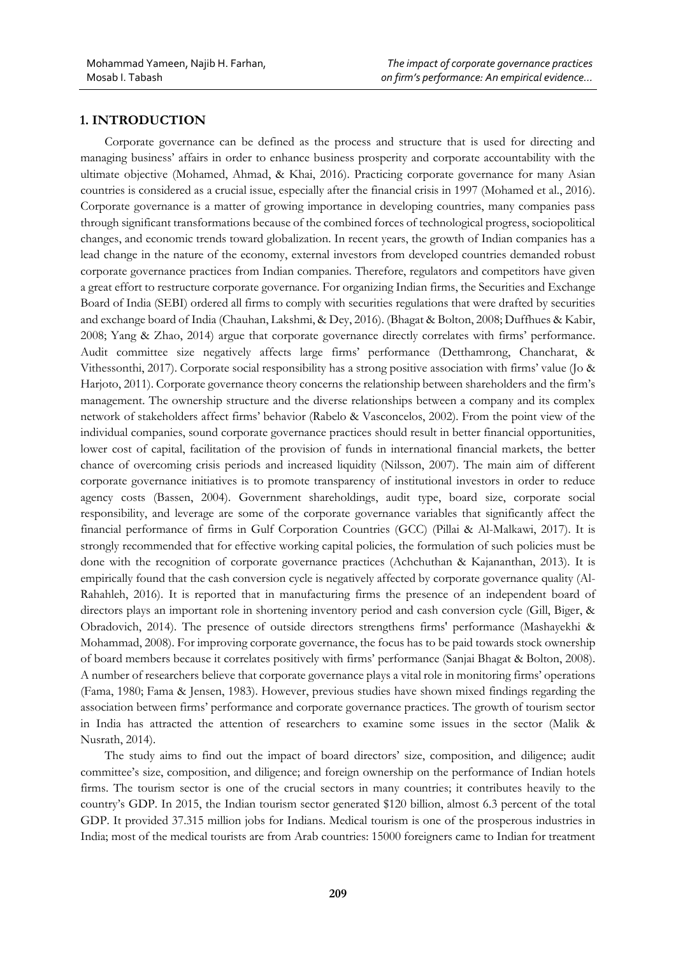## **1. INTRODUCTION**

Corporate governance can be defined as the process and structure that is used for directing and managing business' affairs in order to enhance business prosperity and corporate accountability with the ultimate objective (Mohamed, Ahmad, & Khai, 2016). Practicing corporate governance for many Asian countries is considered as a crucial issue, especially after the financial crisis in 1997 (Mohamed et al., 2016). Corporate governance is a matter of growing importance in developing countries, many companies pass through significant transformations because of the combined forces of technological progress, sociopolitical changes, and economic trends toward globalization. In recent years, the growth of Indian companies has a lead change in the nature of the economy, external investors from developed countries demanded robust corporate governance practices from Indian companies. Therefore, regulators and competitors have given a great effort to restructure corporate governance. For organizing Indian firms, the Securities and Exchange Board of India (SEBI) ordered all firms to comply with securities regulations that were drafted by securities and exchange board of India (Chauhan, Lakshmi, & Dey, 2016). (Bhagat & Bolton, 2008; Duffhues & Kabir, 2008; Yang & Zhao, 2014) argue that corporate governance directly correlates with firms' performance. Audit committee size negatively affects large firms' performance (Detthamrong, Chancharat, & Vithessonthi, 2017). Corporate social responsibility has a strong positive association with firms' value (Jo & Harjoto, 2011). Corporate governance theory concerns the relationship between shareholders and the firm's management. The ownership structure and the diverse relationships between a company and its complex network of stakeholders affect firms' behavior (Rabelo & Vasconcelos, 2002). From the point view of the individual companies, sound corporate governance practices should result in better financial opportunities, lower cost of capital, facilitation of the provision of funds in international financial markets, the better chance of overcoming crisis periods and increased liquidity (Nilsson, 2007). The main aim of different corporate governance initiatives is to promote transparency of institutional investors in order to reduce agency costs (Bassen, 2004). Government shareholdings, audit type, board size, corporate social responsibility, and leverage are some of the corporate governance variables that significantly affect the financial performance of firms in Gulf Corporation Countries (GCC) (Pillai & Al-Malkawi, 2017). It is strongly recommended that for effective working capital policies, the formulation of such policies must be done with the recognition of corporate governance practices (Achchuthan & Kajananthan, 2013). It is empirically found that the cash conversion cycle is negatively affected by corporate governance quality (Al-Rahahleh, 2016). It is reported that in manufacturing firms the presence of an independent board of directors plays an important role in shortening inventory period and cash conversion cycle (Gill, Biger, & Obradovich, 2014). The presence of outside directors strengthens firms' performance (Mashayekhi & Mohammad, 2008). For improving corporate governance, the focus has to be paid towards stock ownership of board members because it correlates positively with firms' performance (Sanjai Bhagat & Bolton, 2008). A number of researchers believe that corporate governance plays a vital role in monitoring firms' operations (Fama, 1980; Fama & Jensen, 1983). However, previous studies have shown mixed findings regarding the association between firms' performance and corporate governance practices. The growth of tourism sector in India has attracted the attention of researchers to examine some issues in the sector (Malik & Nusrath, 2014).

The study aims to find out the impact of board directors' size, composition, and diligence; audit committee's size, composition, and diligence; and foreign ownership on the performance of Indian hotels firms. The tourism sector is one of the crucial sectors in many countries; it contributes heavily to the country's GDP. In 2015, the Indian tourism sector generated \$120 billion, almost 6.3 percent of the total GDP. It provided 37.315 million jobs for Indians. Medical tourism is one of the prosperous industries in India; most of the medical tourists are from Arab countries: 15000 foreigners came to Indian for treatment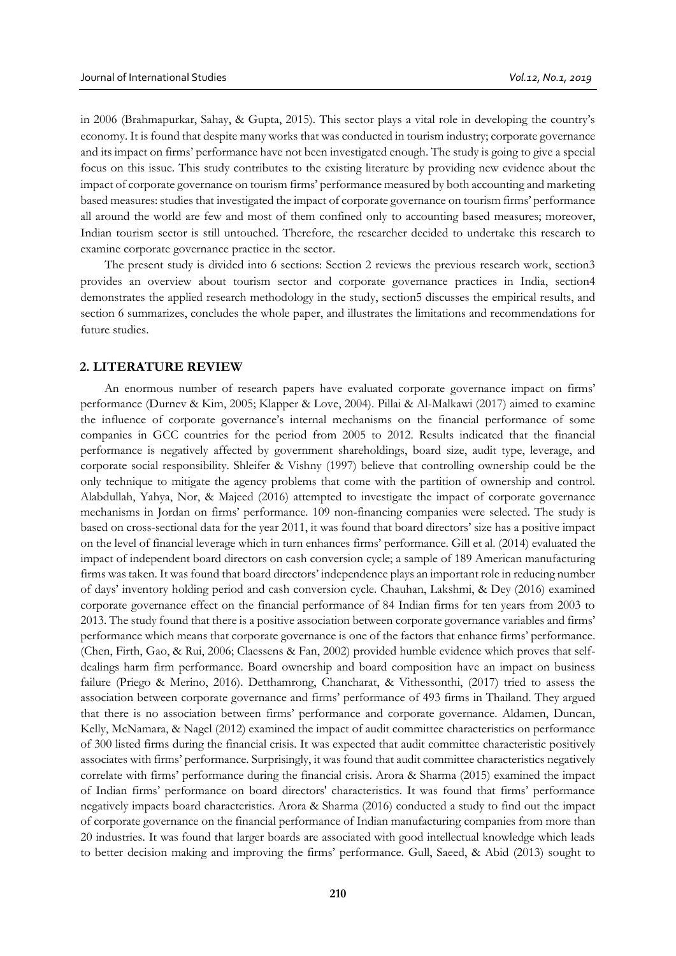in 2006 (Brahmapurkar, Sahay, & Gupta, 2015). This sector plays a vital role in developing the country's economy. It is found that despite many works that was conducted in tourism industry; corporate governance and its impact on firms' performance have not been investigated enough. The study is going to give a special focus on this issue. This study contributes to the existing literature by providing new evidence about the impact of corporate governance on tourism firms' performance measured by both accounting and marketing based measures: studies that investigated the impact of corporate governance on tourism firms' performance all around the world are few and most of them confined only to accounting based measures; moreover, Indian tourism sector is still untouched. Therefore, the researcher decided to undertake this research to examine corporate governance practice in the sector.

The present study is divided into 6 sections: Section 2 reviews the previous research work, section3 provides an overview about tourism sector and corporate governance practices in India, section4 demonstrates the applied research methodology in the study, section5 discusses the empirical results, and section 6 summarizes, concludes the whole paper, and illustrates the limitations and recommendations for future studies.

#### **2. LITERATURE REVIEW**

An enormous number of research papers have evaluated corporate governance impact on firms' performance (Durnev & Kim, 2005; Klapper & Love, 2004). Pillai & Al-Malkawi (2017) aimed to examine the influence of corporate governance's internal mechanisms on the financial performance of some companies in GCC countries for the period from 2005 to 2012. Results indicated that the financial performance is negatively affected by government shareholdings, board size, audit type, leverage, and corporate social responsibility. Shleifer & Vishny (1997) believe that controlling ownership could be the only technique to mitigate the agency problems that come with the partition of ownership and control. Alabdullah, Yahya, Nor, & Majeed (2016) attempted to investigate the impact of corporate governance mechanisms in Jordan on firms' performance. 109 non-financing companies were selected. The study is based on cross-sectional data for the year 2011, it was found that board directors' size has a positive impact on the level of financial leverage which in turn enhances firms' performance. Gill et al. (2014) evaluated the impact of independent board directors on cash conversion cycle; a sample of 189 American manufacturing firms was taken. It was found that board directors' independence plays an important role in reducing number of days' inventory holding period and cash conversion cycle. Chauhan, Lakshmi, & Dey (2016) examined corporate governance effect on the financial performance of 84 Indian firms for ten years from 2003 to 2013. The study found that there is a positive association between corporate governance variables and firms' performance which means that corporate governance is one of the factors that enhance firms' performance. (Chen, Firth, Gao, & Rui, 2006; Claessens & Fan, 2002) provided humble evidence which proves that selfdealings harm firm performance. Board ownership and board composition have an impact on business failure (Priego & Merino, 2016). Detthamrong, Chancharat, & Vithessonthi, (2017) tried to assess the association between corporate governance and firms' performance of 493 firms in Thailand. They argued that there is no association between firms' performance and corporate governance. Aldamen, Duncan, Kelly, McNamara, & Nagel (2012) examined the impact of audit committee characteristics on performance of 300 listed firms during the financial crisis. It was expected that audit committee characteristic positively associates with firms' performance. Surprisingly, it was found that audit committee characteristics negatively correlate with firms' performance during the financial crisis. Arora & Sharma (2015) examined the impact of Indian firms' performance on board directors' characteristics. It was found that firms' performance negatively impacts board characteristics. Arora & Sharma (2016) conducted a study to find out the impact of corporate governance on the financial performance of Indian manufacturing companies from more than 20 industries. It was found that larger boards are associated with good intellectual knowledge which leads to better decision making and improving the firms' performance. Gull, Saeed, & Abid (2013) sought to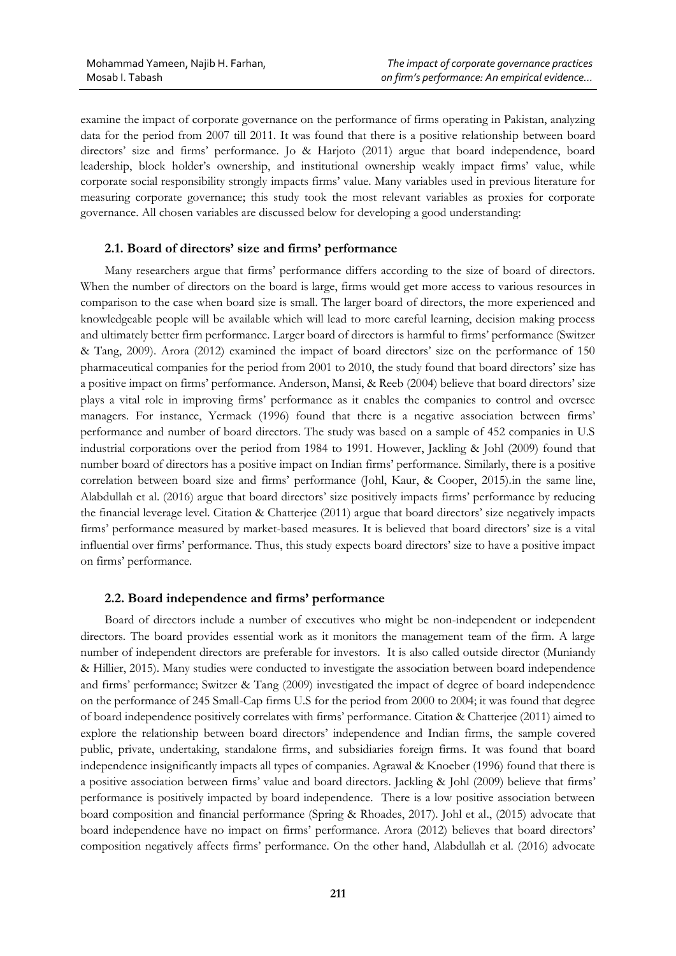examine the impact of corporate governance on the performance of firms operating in Pakistan, analyzing data for the period from 2007 till 2011. It was found that there is a positive relationship between board directors' size and firms' performance. Jo & Harjoto (2011) argue that board independence, board leadership, block holder's ownership, and institutional ownership weakly impact firms' value, while corporate social responsibility strongly impacts firms' value. Many variables used in previous literature for measuring corporate governance; this study took the most relevant variables as proxies for corporate governance. All chosen variables are discussed below for developing a good understanding:

### **2.1. Board of directors' size and firms' performance**

Many researchers argue that firms' performance differs according to the size of board of directors. When the number of directors on the board is large, firms would get more access to various resources in comparison to the case when board size is small. The larger board of directors, the more experienced and knowledgeable people will be available which will lead to more careful learning, decision making process and ultimately better firm performance. Larger board of directors is harmful to firms' performance (Switzer & Tang, 2009). Arora (2012) examined the impact of board directors' size on the performance of 150 pharmaceutical companies for the period from 2001 to 2010, the study found that board directors' size has a positive impact on firms' performance. Anderson, Mansi, & Reeb (2004) believe that board directors' size plays a vital role in improving firms' performance as it enables the companies to control and oversee managers. For instance, Yermack (1996) found that there is a negative association between firms' performance and number of board directors. The study was based on a sample of 452 companies in U.S industrial corporations over the period from 1984 to 1991. However, Jackling & Johl (2009) found that number board of directors has a positive impact on Indian firms' performance. Similarly, there is a positive correlation between board size and firms' performance (Johl, Kaur, & Cooper, 2015).in the same line, Alabdullah et al. (2016) argue that board directors' size positively impacts firms' performance by reducing the financial leverage level. Citation & Chatterjee (2011) argue that board directors' size negatively impacts firms' performance measured by market-based measures. It is believed that board directors' size is a vital influential over firms' performance. Thus, this study expects board directors' size to have a positive impact on firms' performance.

#### **2.2. Board independence and firms' performance**

Board of directors include a number of executives who might be non-independent or independent directors. The board provides essential work as it monitors the management team of the firm. A large number of independent directors are preferable for investors. It is also called outside director (Muniandy & Hillier, 2015). Many studies were conducted to investigate the association between board independence and firms' performance; Switzer & Tang (2009) investigated the impact of degree of board independence on the performance of 245 Small-Cap firms U.S for the period from 2000 to 2004; it was found that degree of board independence positively correlates with firms' performance. Citation & Chatterjee (2011) aimed to explore the relationship between board directors' independence and Indian firms, the sample covered public, private, undertaking, standalone firms, and subsidiaries foreign firms. It was found that board independence insignificantly impacts all types of companies. Agrawal & Knoeber (1996) found that there is a positive association between firms' value and board directors. Jackling & Johl (2009) believe that firms' performance is positively impacted by board independence. There is a low positive association between board composition and financial performance (Spring & Rhoades, 2017). Johl et al., (2015) advocate that board independence have no impact on firms' performance. Arora (2012) believes that board directors' composition negatively affects firms' performance. On the other hand, Alabdullah et al. (2016) advocate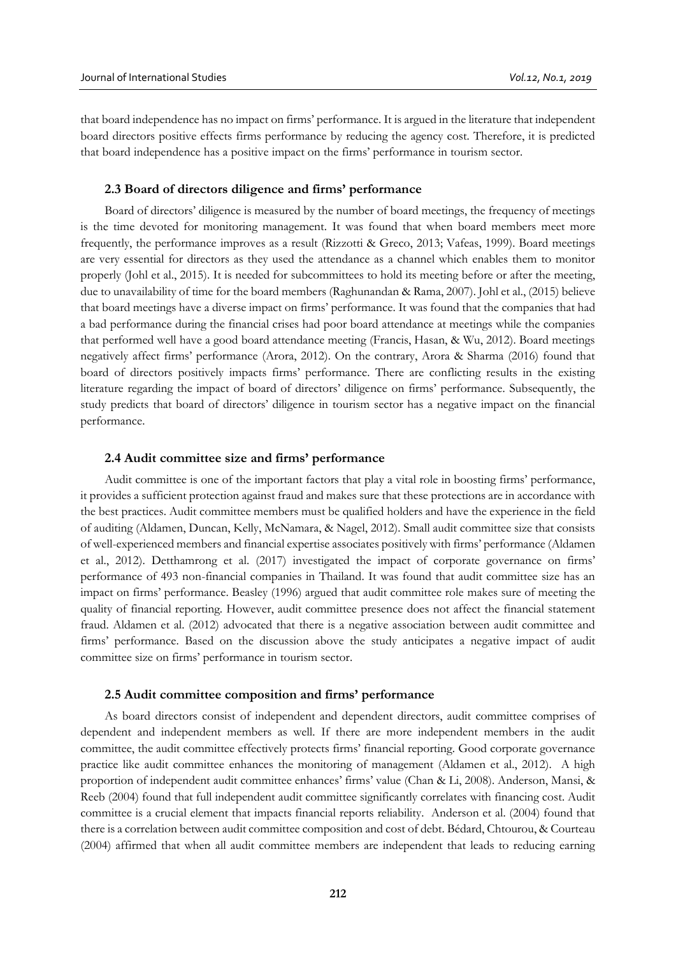that board independence has no impact on firms' performance. It is argued in the literature that independent board directors positive effects firms performance by reducing the agency cost. Therefore, it is predicted that board independence has a positive impact on the firms' performance in tourism sector.

#### **2.3 Board of directors diligence and firms' performance**

Board of directors' diligence is measured by the number of board meetings, the frequency of meetings is the time devoted for monitoring management. It was found that when board members meet more frequently, the performance improves as a result (Rizzotti & Greco, 2013; Vafeas, 1999). Board meetings are very essential for directors as they used the attendance as a channel which enables them to monitor properly (Johl et al., 2015). It is needed for subcommittees to hold its meeting before or after the meeting, due to unavailability of time for the board members (Raghunandan & Rama, 2007). Johl et al., (2015) believe that board meetings have a diverse impact on firms' performance. It was found that the companies that had a bad performance during the financial crises had poor board attendance at meetings while the companies that performed well have a good board attendance meeting (Francis, Hasan, & Wu, 2012). Board meetings negatively affect firms' performance (Arora, 2012). On the contrary, Arora & Sharma (2016) found that board of directors positively impacts firms' performance. There are conflicting results in the existing literature regarding the impact of board of directors' diligence on firms' performance. Subsequently, the study predicts that board of directors' diligence in tourism sector has a negative impact on the financial performance.

#### **2.4 Audit committee size and firms' performance**

Audit committee is one of the important factors that play a vital role in boosting firms' performance, it provides a sufficient protection against fraud and makes sure that these protections are in accordance with the best practices. Audit committee members must be qualified holders and have the experience in the field of auditing (Aldamen, Duncan, Kelly, McNamara, & Nagel, 2012). Small audit committee size that consists of well-experienced members and financial expertise associates positively with firms' performance (Aldamen et al., 2012). Detthamrong et al. (2017) investigated the impact of corporate governance on firms' performance of 493 non-financial companies in Thailand. It was found that audit committee size has an impact on firms' performance. Beasley (1996) argued that audit committee role makes sure of meeting the quality of financial reporting. However, audit committee presence does not affect the financial statement fraud. Aldamen et al. (2012) advocated that there is a negative association between audit committee and firms' performance. Based on the discussion above the study anticipates a negative impact of audit committee size on firms' performance in tourism sector.

#### **2.5 Audit committee composition and firms' performance**

As board directors consist of independent and dependent directors, audit committee comprises of dependent and independent members as well. If there are more independent members in the audit committee, the audit committee effectively protects firms' financial reporting. Good corporate governance practice like audit committee enhances the monitoring of management (Aldamen et al., 2012). A high proportion of independent audit committee enhances' firms' value (Chan & Li, 2008). Anderson, Mansi, & Reeb (2004) found that full independent audit committee significantly correlates with financing cost. Audit committee is a crucial element that impacts financial reports reliability. Anderson et al. (2004) found that there is a correlation between audit committee composition and cost of debt. Bédard, Chtourou, & Courteau (2004) affirmed that when all audit committee members are independent that leads to reducing earning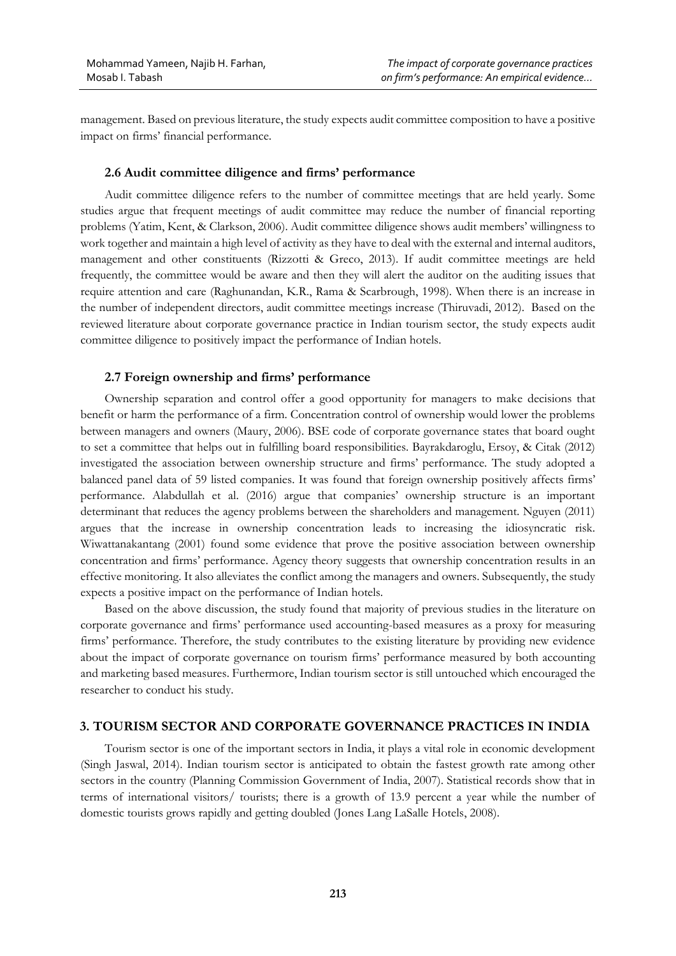management. Based on previous literature, the study expects audit committee composition to have a positive impact on firms' financial performance.

### **2.6 Audit committee diligence and firms' performance**

Audit committee diligence refers to the number of committee meetings that are held yearly. Some studies argue that frequent meetings of audit committee may reduce the number of financial reporting problems (Yatim, Kent, & Clarkson, 2006). Audit committee diligence shows audit members' willingness to work together and maintain a high level of activity as they have to deal with the external and internal auditors, management and other constituents (Rizzotti & Greco, 2013). If audit committee meetings are held frequently, the committee would be aware and then they will alert the auditor on the auditing issues that require attention and care (Raghunandan, K.R., Rama & Scarbrough, 1998). When there is an increase in the number of independent directors, audit committee meetings increase (Thiruvadi, 2012). Based on the reviewed literature about corporate governance practice in Indian tourism sector, the study expects audit committee diligence to positively impact the performance of Indian hotels.

### **2.7 Foreign ownership and firms' performance**

Ownership separation and control offer a good opportunity for managers to make decisions that benefit or harm the performance of a firm. Concentration control of ownership would lower the problems between managers and owners (Maury, 2006). BSE code of corporate governance states that board ought to set a committee that helps out in fulfilling board responsibilities. Bayrakdaroglu, Ersoy, & Citak (2012) investigated the association between ownership structure and firms' performance. The study adopted a balanced panel data of 59 listed companies. It was found that foreign ownership positively affects firms' performance. Alabdullah et al. (2016) argue that companies' ownership structure is an important determinant that reduces the agency problems between the shareholders and management. Nguyen (2011) argues that the increase in ownership concentration leads to increasing the idiosyncratic risk. Wiwattanakantang (2001) found some evidence that prove the positive association between ownership concentration and firms' performance. Agency theory suggests that ownership concentration results in an effective monitoring. It also alleviates the conflict among the managers and owners. Subsequently, the study expects a positive impact on the performance of Indian hotels.

Based on the above discussion, the study found that majority of previous studies in the literature on corporate governance and firms' performance used accounting-based measures as a proxy for measuring firms' performance. Therefore, the study contributes to the existing literature by providing new evidence about the impact of corporate governance on tourism firms' performance measured by both accounting and marketing based measures. Furthermore, Indian tourism sector is still untouched which encouraged the researcher to conduct his study.

## **3. TOURISM SECTOR AND CORPORATE GOVERNANCE PRACTICES IN INDIA**

Tourism sector is one of the important sectors in India, it plays a vital role in economic development (Singh Jaswal, 2014). Indian tourism sector is anticipated to obtain the fastest growth rate among other sectors in the country (Planning Commission Government of India, 2007). Statistical records show that in terms of international visitors/ tourists; there is a growth of 13.9 percent a year while the number of domestic tourists grows rapidly and getting doubled (Jones Lang LaSalle Hotels, 2008).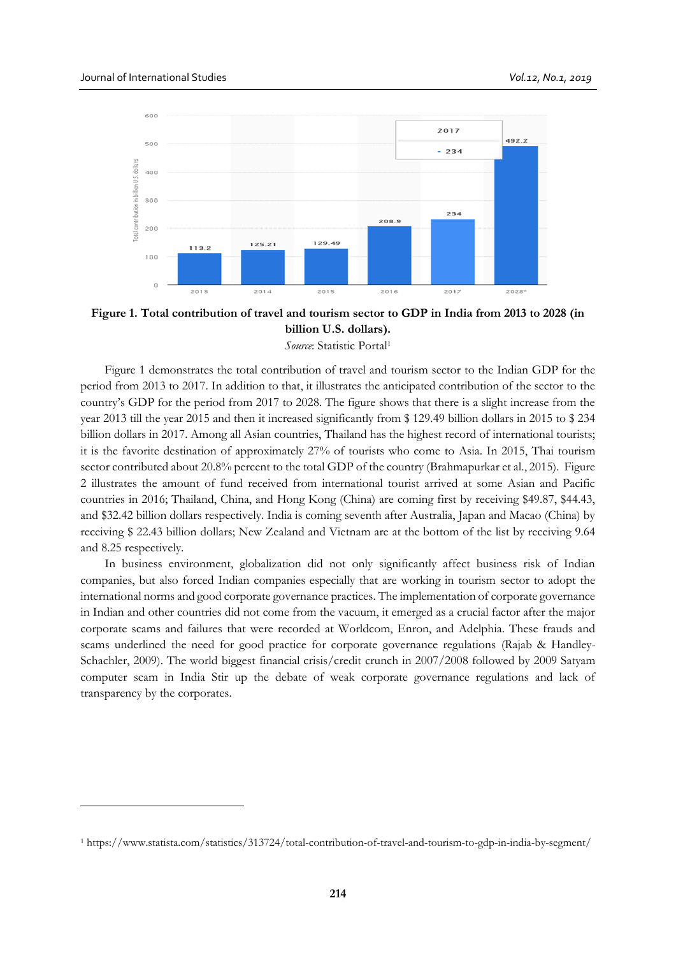<u>.</u>



**Figure 1. Total contribution of travel and tourism sector to GDP in India from 2013 to 2028 (in billion U.S. dollars).**

*Source*: Statistic Portal<sup>1</sup>

Figure 1 demonstrates the total contribution of travel and tourism sector to the Indian GDP for the period from 2013 to 2017. In addition to that, it illustrates the anticipated contribution of the sector to the country's GDP for the period from 2017 to 2028. The figure shows that there is a slight increase from the year 2013 till the year 2015 and then it increased significantly from \$ 129.49 billion dollars in 2015 to \$ 234 billion dollars in 2017. Among all Asian countries, Thailand has the highest record of international tourists; it is the favorite destination of approximately 27% of tourists who come to Asia. In 2015, Thai tourism sector contributed about 20.8% percent to the total GDP of the country (Brahmapurkar et al., 2015). Figure 2 illustrates the amount of fund received from international tourist arrived at some Asian and Pacific countries in 2016; Thailand, China, and Hong Kong (China) are coming first by receiving \$49.87, \$44.43, and \$32.42 billion dollars respectively. India is coming seventh after Australia, Japan and Macao (China) by receiving \$ 22.43 billion dollars; New Zealand and Vietnam are at the bottom of the list by receiving 9.64 and 8.25 respectively.

In business environment, globalization did not only significantly affect business risk of Indian companies, but also forced Indian companies especially that are working in tourism sector to adopt the international norms and good corporate governance practices. The implementation of corporate governance in Indian and other countries did not come from the vacuum, it emerged as a crucial factor after the major corporate scams and failures that were recorded at Worldcom, Enron, and Adelphia. These frauds and scams underlined the need for good practice for corporate governance regulations (Rajab & Handley-Schachler, 2009). The world biggest financial crisis/credit crunch in 2007/2008 followed by 2009 Satyam computer scam in India Stir up the debate of weak corporate governance regulations and lack of transparency by the corporates.

<sup>1</sup> https://www.statista.com/statistics/313724/total-contribution-of-travel-and-tourism-to-gdp-in-india-by-segment/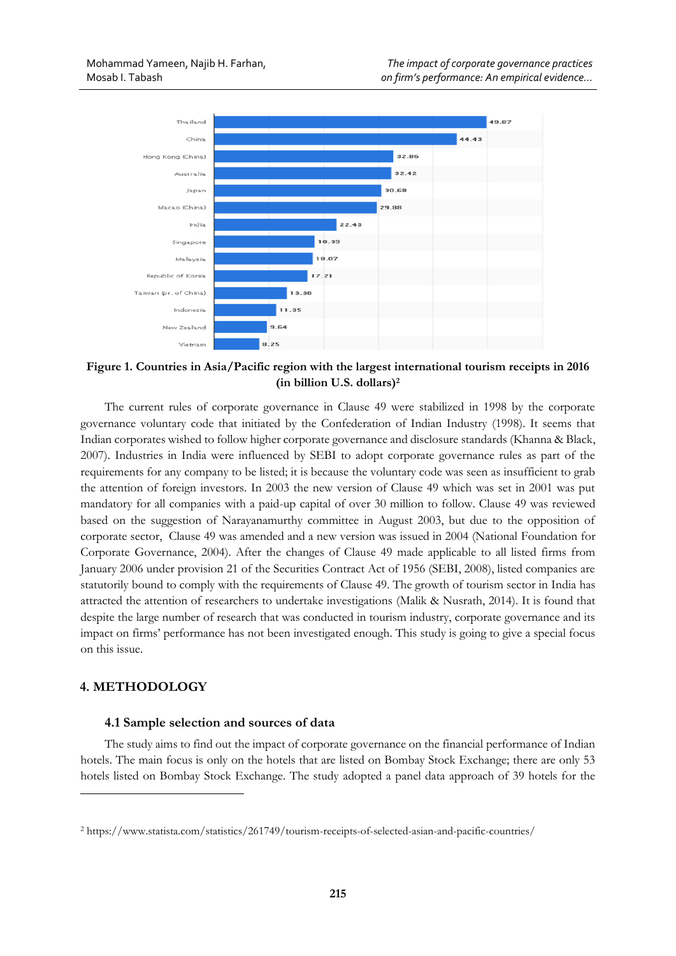

**Figure 1. Countries in Asia/Pacific region with the largest international tourism receipts in 2016 (in billion U.S. dollars)<sup>2</sup>**

The current rules of corporate governance in Clause 49 were stabilized in 1998 by the corporate governance voluntary code that initiated by the Confederation of Indian Industry (1998). It seems that Indian corporates wished to follow higher corporate governance and disclosure standards (Khanna & Black, 2007). Industries in India were influenced by SEBI to adopt corporate governance rules as part of the requirements for any company to be listed; it is because the voluntary code was seen as insufficient to grab the attention of foreign investors. In 2003 the new version of Clause 49 which was set in 2001 was put mandatory for all companies with a paid-up capital of over 30 million to follow. Clause 49 was reviewed based on the suggestion of Narayanamurthy committee in August 2003, but due to the opposition of corporate sector, Clause 49 was amended and a new version was issued in 2004 (National Foundation for Corporate Governance, 2004). After the changes of Clause 49 made applicable to all listed firms from January 2006 under provision 21 of the Securities Contract Act of 1956 (SEBI, 2008), listed companies are statutorily bound to comply with the requirements of Clause 49. The growth of tourism sector in India has attracted the attention of researchers to undertake investigations (Malik & Nusrath, 2014). It is found that despite the large number of research that was conducted in tourism industry, corporate governance and its impact on firms' performance has not been investigated enough. This study is going to give a special focus on this issue.

# **4. METHODOLOGY**

<u>.</u>

# **4.1 Sample selection and sources of data**

The study aims to find out the impact of corporate governance on the financial performance of Indian hotels. The main focus is only on the hotels that are listed on Bombay Stock Exchange; there are only 53 hotels listed on Bombay Stock Exchange. The study adopted a panel data approach of 39 hotels for the

<sup>2</sup> https://www.statista.com/statistics/261749/tourism-receipts-of-selected-asian-and-pacific-countries/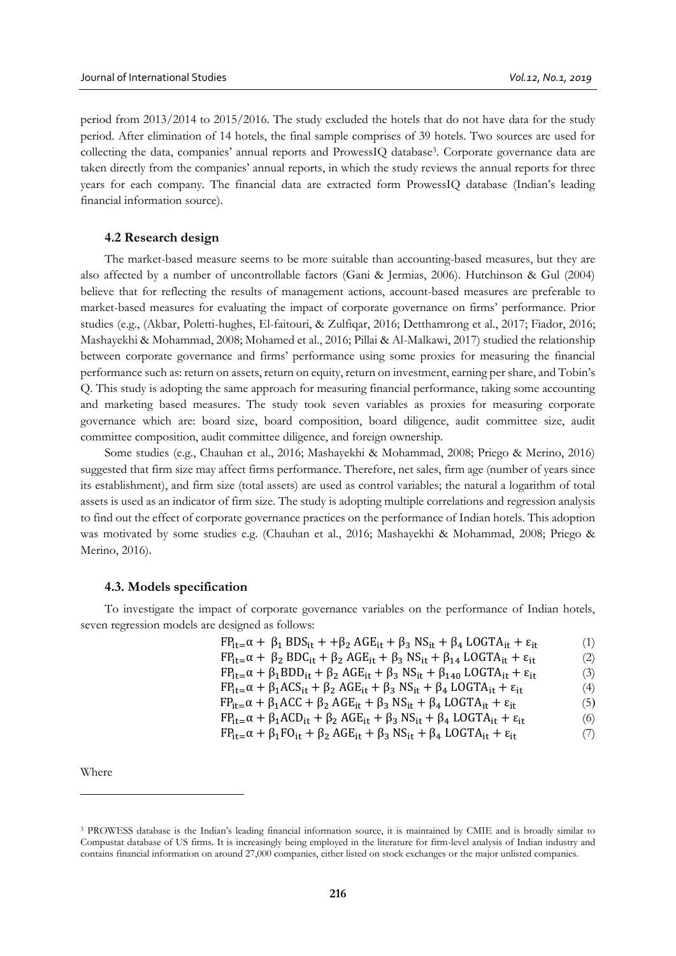period from 2013/2014 to 2015/2016. The study excluded the hotels that do not have data for the study period. After elimination of 14 hotels, the final sample comprises of 39 hotels. Two sources are used for collecting the data, companies' annual reports and ProwessIQ database<sup>3</sup> . Corporate governance data are taken directly from the companies' annual reports, in which the study reviews the annual reports for three years for each company. The financial data are extracted form ProwessIQ database (Indian's leading financial information source).

#### **4.2 Research design**

The market-based measure seems to be more suitable than accounting-based measures, but they are also affected by a number of uncontrollable factors (Gani & Jermias, 2006). Hutchinson & Gul (2004) believe that for reflecting the results of management actions, account-based measures are preferable to market-based measures for evaluating the impact of corporate governance on firms' performance. Prior studies (e.g., (Akbar, Poletti-hughes, El-faitouri, & Zulfiqar, 2016; Detthamrong et al., 2017; Fiador, 2016; Mashayekhi & Mohammad, 2008; Mohamed et al., 2016; Pillai & Al-Malkawi, 2017) studied the relationship between corporate governance and firms' performance using some proxies for measuring the financial performance such as: return on assets, return on equity, return on investment, earning per share, and Tobin's Q. This study is adopting the same approach for measuring financial performance, taking some accounting and marketing based measures. The study took seven variables as proxies for measuring corporate governance which are: board size, board composition, board diligence, audit committee size, audit committee composition, audit committee diligence, and foreign ownership.

Some studies (e.g., Chauhan et al., 2016; Mashayekhi & Mohammad, 2008; Priego & Merino, 2016) suggested that firm size may affect firms performance. Therefore, net sales, firm age (number of years since its establishment), and firm size (total assets) are used as control variables; the natural a logarithm of total assets is used as an indicator of firm size. The study is adopting multiple correlations and regression analysis to find out the effect of corporate governance practices on the performance of Indian hotels. This adoption was motivated by some studies e.g. (Chauhan et al., 2016; Mashayekhi & Mohammad, 2008; Priego & Merino, 2016).

#### **4.3. Models specification**

To investigate the impact of corporate governance variables on the performance of Indian hotels, seven regression models are designed as follows:

| $FP_{it} = \alpha + \beta_1 BDS_{it} + \beta_2 AGE_{it} + \beta_3 NS_{it} + \beta_4 LOGTA_{it} + \varepsilon_{it}$     | (1) |
|------------------------------------------------------------------------------------------------------------------------|-----|
| $FP_{it} = \alpha + \beta_2 BDC_{it} + \beta_2 AGE_{it} + \beta_3 NS_{it} + \beta_{14} LOGTA_{it} + \varepsilon_{it}$  | (2) |
| $FP_{it} = \alpha + \beta_1 BDD_{it} + \beta_2 AGE_{it} + \beta_3 NS_{it} + \beta_{140} LOGTA_{it} + \varepsilon_{it}$ | (3) |
| $FP_{it} = \alpha + \beta_1 ACS_{it} + \beta_2 AGE_{it} + \beta_3 NS_{it} + \beta_4 LOGTA_{it} + \epsilon_{it}$        | (4) |
| $FP_{it} = \alpha + \beta_1 ACC + \beta_2 AGE_{it} + \beta_3 NS_{it} + \beta_4 LOGTA_{it} + \epsilon_{it}$             | (5) |
| $FP_{it} = \alpha + \beta_1 ACD_{it} + \beta_2 AGE_{it} + \beta_3 NS_{it} + \beta_4 LOGTA_{it} + \epsilon_{it}$        | (6) |
| $FP_{it} = \alpha + \beta_1 FO_{it} + \beta_2 AGE_{it} + \beta_3 NS_{it} + \beta_4 LOGTA_{it} + \epsilon_{it}$         | (7) |
|                                                                                                                        |     |

Where

<u>.</u>

<sup>3</sup> PROWESS database is the Indian's leading financial information source, it is maintained by CMIE and is broadly similar to Compustat database of US firms. It is increasingly being employed in the literature for firm-level analysis of Indian industry and contains financial information on around 27,000 companies, either listed on stock exchanges or the major unlisted companies.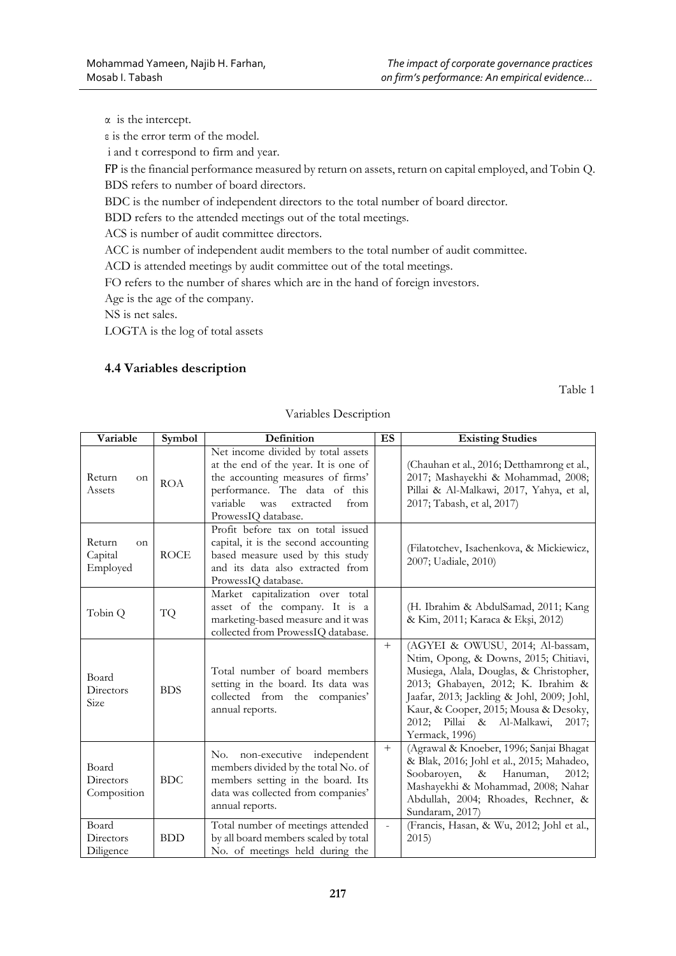α is the intercept.

ε is the error term of the model.

i and t correspond to firm and year.

FP is the financial performance measured by return on assets, return on capital employed, and Tobin Q. BDS refers to number of board directors.

BDC is the number of independent directors to the total number of board director.

BDD refers to the attended meetings out of the total meetings.

ACS is number of audit committee directors.

ACC is number of independent audit members to the total number of audit committee.

ACD is attended meetings by audit committee out of the total meetings.

FO refers to the number of shares which are in the hand of foreign investors.

Age is the age of the company.

NS is net sales.

LOGTA is the log of total assets

# **4.4 Variables description**

Table 1

| Variable                                       | Symbol      | Definition                                                                                                                                                                                                      | <b>ES</b> | <b>Existing Studies</b>                                                                                                                                                                                                                                                                                    |
|------------------------------------------------|-------------|-----------------------------------------------------------------------------------------------------------------------------------------------------------------------------------------------------------------|-----------|------------------------------------------------------------------------------------------------------------------------------------------------------------------------------------------------------------------------------------------------------------------------------------------------------------|
| Return<br><sub>on</sub><br>Assets              | <b>ROA</b>  | Net income divided by total assets<br>at the end of the year. It is one of<br>the accounting measures of firms'<br>performance. The data of this<br>variable<br>was<br>extracted<br>from<br>ProwessIQ database. |           | (Chauhan et al., 2016; Detthamrong et al.,<br>2017; Mashayekhi & Mohammad, 2008;<br>Pillai & Al-Malkawi, 2017, Yahya, et al,<br>2017; Tabash, et al, 2017)                                                                                                                                                 |
| Return<br><sub>on</sub><br>Capital<br>Employed | <b>ROCE</b> | Profit before tax on total issued<br>capital, it is the second accounting<br>based measure used by this study<br>and its data also extracted from<br>ProwessIQ database.                                        |           | (Filatotchev, Isachenkova, & Mickiewicz,<br>2007; Uadiale, 2010)                                                                                                                                                                                                                                           |
| Tobin Q                                        | TQ          | Market capitalization over total<br>asset of the company. It is a<br>marketing-based measure and it was<br>collected from ProwessIQ database.                                                                   |           | (H. Ibrahim & AbdulSamad, 2011; Kang<br>& Kim, 2011; Karaca & Ekşi, 2012)                                                                                                                                                                                                                                  |
| Board<br>Directors<br>Size                     | <b>BDS</b>  | Total number of board members<br>setting in the board. Its data was<br>collected from the companies'<br>annual reports.                                                                                         | $^{+}$    | (AGYEI & OWUSU, 2014; Al-bassam,<br>Ntim, Opong, & Downs, 2015; Chitiavi,<br>Musiega, Alala, Douglas, & Christopher,<br>2013; Ghabayen, 2012; K. Ibrahim &<br>Jaafar, 2013; Jackling & Johl, 2009; Johl,<br>Kaur, & Cooper, 2015; Mousa & Desoky,<br>2012; Pillai & Al-Malkawi,<br>2017;<br>Yermack, 1996) |
| Board<br>Directors<br>Composition              | <b>BDC</b>  | No. non-executive independent<br>members divided by the total No. of<br>members setting in the board. Its<br>data was collected from companies'<br>annual reports.                                              | $+$       | (Agrawal & Knoeber, 1996; Sanjai Bhagat<br>& Blak, 2016; Johl et al., 2015; Mahadeo,<br>Soobaroyen,<br>Hanuman,<br>$\&$<br>2012;<br>Mashayekhi & Mohammad, 2008; Nahar<br>Abdullah, 2004; Rhoades, Rechner, &<br>Sundaram, 2017)                                                                           |
| Board<br>Directors<br>Diligence                | <b>BDD</b>  | Total number of meetings attended<br>by all board members scaled by total<br>No. of meetings held during the                                                                                                    | ä,        | (Francis, Hasan, & Wu, 2012; Johl et al.,<br>2015)                                                                                                                                                                                                                                                         |

# Variables Description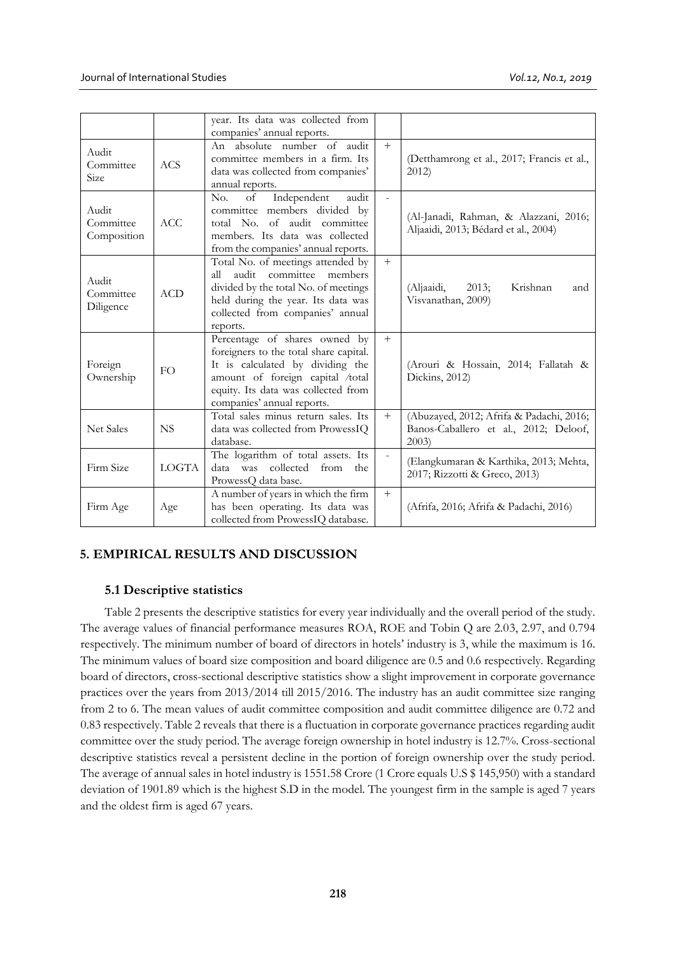|                                   |              | year. Its data was collected from<br>companies' annual reports.                                                                                                                                                      |                |                                                                                           |
|-----------------------------------|--------------|----------------------------------------------------------------------------------------------------------------------------------------------------------------------------------------------------------------------|----------------|-------------------------------------------------------------------------------------------|
| Audit<br>Committee<br>Size        | <b>ACS</b>   | absolute number of audit<br>An<br>committee members in a firm. Its<br>data was collected from companies'<br>annual reports.                                                                                          | $+$            | (Detthamrong et al., 2017; Francis et al.,<br>2012                                        |
| Audit<br>Committee<br>Composition | ACC.         | Independent<br>No.<br>of<br>audit<br>committee members divided by<br>total No. of audit committee<br>members. Its data was collected<br>from the companies' annual reports.                                          | $\mathbf{r}$   | (Al-Janadi, Rahman, & Alazzani, 2016;<br>Aljaaidi, 2013; Bédard et al., 2004)             |
| Audit<br>Committee<br>Diligence   | <b>ACD</b>   | Total No. of meetings attended by<br>audit committee<br>members<br>all<br>divided by the total No. of meetings<br>held during the year. Its data was<br>collected from companies' annual<br>reports.                 | $+$            | (Aljaaidi,<br>$2013$ ;<br>Krishnan<br>and<br>Visvanathan, 2009)                           |
| Foreign<br>Ownership              | FO.          | Percentage of shares owned by<br>foreigners to the total share capital.<br>It is calculated by dividing the<br>amount of foreign capital /total<br>equity. Its data was collected from<br>companies' annual reports. | $+$            | (Arouri & Hossain, 2014; Fallatah &<br>Dickins, 2012)                                     |
| <b>Net Sales</b>                  | <b>NS</b>    | Total sales minus return sales. Its<br>data was collected from ProwessIQ<br>database.                                                                                                                                | $+$            | (Abuzayed, 2012; Afrifa & Padachi, 2016;<br>Banos-Caballero et al., 2012; Deloof,<br>2003 |
| Firm Size                         | <b>LOGTA</b> | The logarithm of total assets. Its<br>collected<br>data<br>was<br>from<br>the<br>ProwessQ data base.                                                                                                                 | $\overline{a}$ | (Elangkumaran & Karthika, 2013; Mehta,<br>2017; Rizzotti & Greco, 2013)                   |
| Firm Age                          | Age          | A number of years in which the firm<br>has been operating. Its data was<br>collected from ProwessIQ database.                                                                                                        | $+$            | (Afrifa, 2016; Afrifa & Padachi, 2016)                                                    |

# **5. EMPIRICAL RESULTS AND DISCUSSION**

# **5.1 Descriptive statistics**

Table 2 presents the descriptive statistics for every year individually and the overall period of the study. The average values of financial performance measures ROA, ROE and Tobin Q are 2.03, 2.97, and 0.794 respectively. The minimum number of board of directors in hotels' industry is 3, while the maximum is 16. The minimum values of board size composition and board diligence are 0.5 and 0.6 respectively. Regarding board of directors, cross-sectional descriptive statistics show a slight improvement in corporate governance practices over the years from 2013/2014 till 2015/2016. The industry has an audit committee size ranging from 2 to 6. The mean values of audit committee composition and audit committee diligence are 0.72 and 0.83 respectively. Table 2 reveals that there is a fluctuation in corporate governance practices regarding audit committee over the study period. The average foreign ownership in hotel industry is 12.7%. Cross-sectional descriptive statistics reveal a persistent decline in the portion of foreign ownership over the study period. The average of annual sales in hotel industry is 1551.58 Crore (1 Crore equals U.S \$ 145,950) with a standard deviation of 1901.89 which is the highest S.D in the model. The youngest firm in the sample is aged 7 years and the oldest firm is aged 67 years.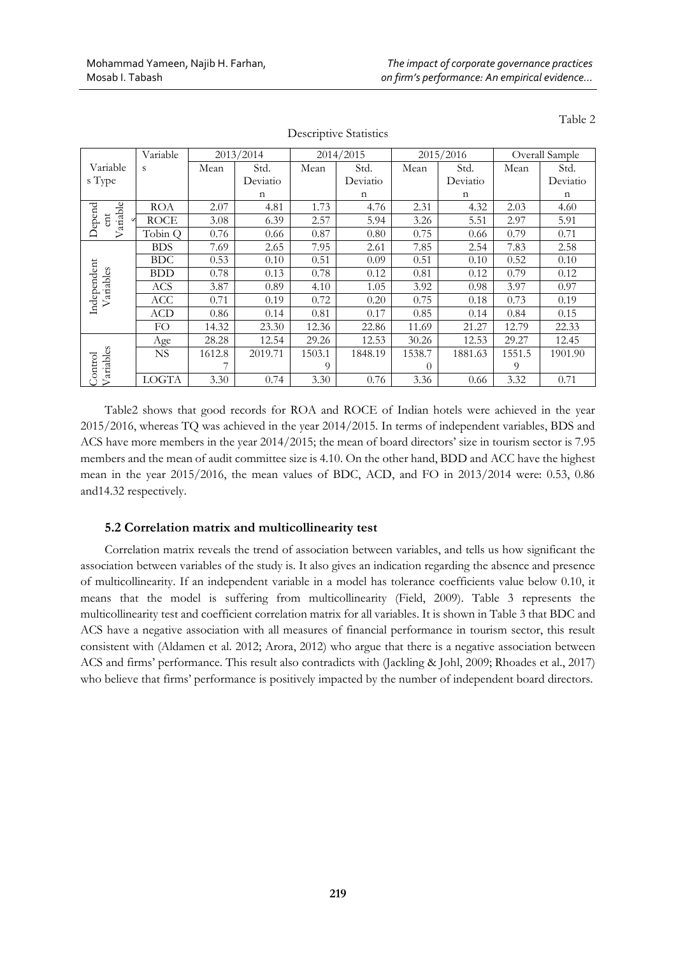|                                   | Variable     |        | 2013/2014   |        | 2014/2015   |          | 2015/2016   | Overall Sample |          |  |
|-----------------------------------|--------------|--------|-------------|--------|-------------|----------|-------------|----------------|----------|--|
| Variable                          | S            | Mean   | Std.        | Mean   | Std.        | Mean     | Std.        | Mean           | Std.     |  |
| s Type                            |              |        | Deviatio    |        | Deviatio    |          | Deviatio    |                | Deviatio |  |
|                                   |              |        | $\mathbf n$ |        | $\mathbf n$ |          | $\mathbf n$ |                | n        |  |
|                                   | <b>ROA</b>   | 2.07   | 4.81        | 1.73   | 4.76        | 2.31     | 4.32        | 2.03           | 4.60     |  |
| ariable<br>Depend<br>$_{\rm ent}$ | <b>ROCE</b>  | 3.08   | 6.39        | 2.57   | 5.94        | 3.26     | 5.51        | 2.97           | 5.91     |  |
| ⊳                                 | Tobin Q      | 0.76   | 0.66        | 0.87   | 0.80        | 0.75     | 0.66        | 0.79           | 0.71     |  |
|                                   | <b>BDS</b>   | 7.69   | 2.65        | 7.95   | 2.61        | 7.85     | 2.54        | 7.83           | 2.58     |  |
|                                   | <b>BDC</b>   | 0.53   | 0.10        | 0.51   | 0.09        | 0.51     | 0.10        | 0.52           | 0.10     |  |
|                                   | <b>BDD</b>   | 0.78   | 0.13        | 0.78   | 0.12        | 0.81     | 0.12        | 0.79           | 0.12     |  |
| Variables                         | ACS          | 3.87   | 0.89        | 4.10   | 1.05        | 3.92     | 0.98        | 3.97           | 0.97     |  |
| Independent                       | <b>ACC</b>   | 0.71   | 0.19        | 0.72   | 0.20        | 0.75     | 0.18        | 0.73           | 0.19     |  |
|                                   | <b>ACD</b>   | 0.86   | 0.14        | 0.81   | 0.17        | 0.85     | 0.14        | 0.84           | 0.15     |  |
|                                   | FO.          | 14.32  | 23.30       | 12.36  | 22.86       | 11.69    | 21.27       | 12.79          | 22.33    |  |
|                                   | Age          | 28.28  | 12.54       | 29.26  | 12.53       | 30.26    | 12.53       | 29.27          | 12.45    |  |
|                                   | <b>NS</b>    | 1612.8 | 2019.71     | 1503.1 | 1848.19     | 1538.7   | 1881.63     | 1551.5         | 1901.90  |  |
| Variables<br>Cantrol              |              |        |             | 9      |             | $\theta$ |             | 9              |          |  |
|                                   | <b>LOGTA</b> | 3.30   | 0.74        | 3.30   | 0.76        | 3.36     | 0.66        | 3.32           | 0.71     |  |

Descriptive Statistics

Table 2

Table2 shows that good records for ROA and ROCE of Indian hotels were achieved in the year 2015/2016, whereas TQ was achieved in the year 2014/2015. In terms of independent variables, BDS and ACS have more members in the year 2014/2015; the mean of board directors' size in tourism sector is 7.95 members and the mean of audit committee size is 4.10. On the other hand, BDD and ACC have the highest mean in the year 2015/2016, the mean values of BDC, ACD, and FO in 2013/2014 were: 0.53, 0.86 and14.32 respectively.

# **5.2 Correlation matrix and multicollinearity test**

Correlation matrix reveals the trend of association between variables, and tells us how significant the association between variables of the study is. It also gives an indication regarding the absence and presence of multicollinearity. If an independent variable in a model has tolerance coefficients value below 0.10, it means that the model is suffering from multicollinearity (Field, 2009). Table 3 represents the multicollinearity test and coefficient correlation matrix for all variables. It is shown in Table 3 that BDC and ACS have a negative association with all measures of financial performance in tourism sector, this result consistent with (Aldamen et al. 2012; Arora, 2012) who argue that there is a negative association between ACS and firms' performance. This result also contradicts with (Jackling & Johl, 2009; Rhoades et al., 2017) who believe that firms' performance is positively impacted by the number of independent board directors.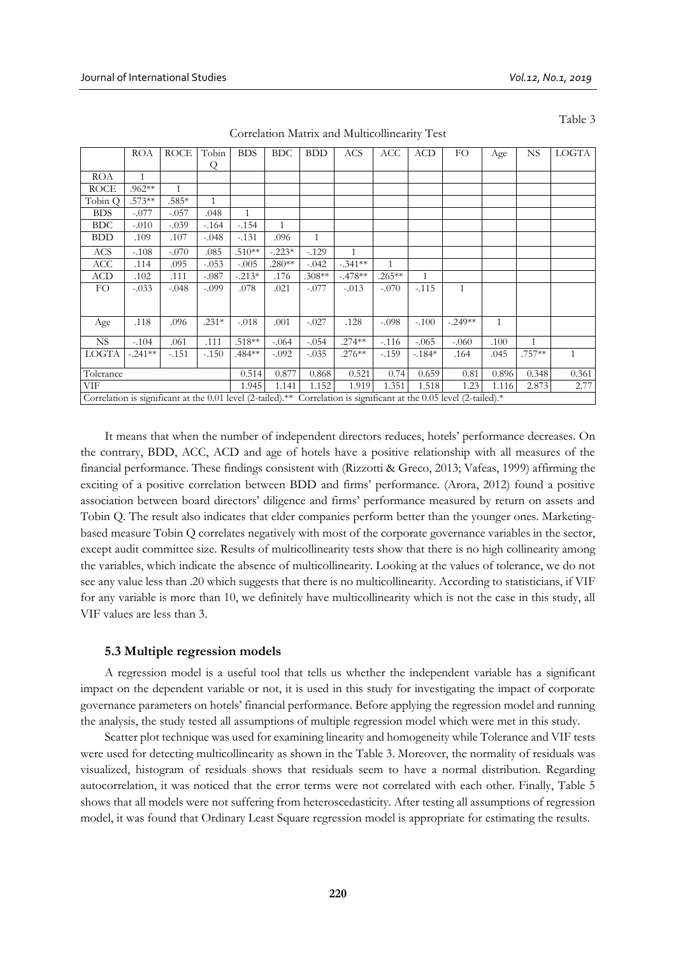Table 3

|             | <b>ROA</b>                                                                                                           | <b>ROCE</b>  | Tobin        | <b>BDS</b>   | <b>BDC</b>   | <b>BDD</b>   | <b>ACS</b>   | ACC          | <b>ACD</b>   | FO           | Age   | <b>NS</b>    | <b>LOGTA</b> |
|-------------|----------------------------------------------------------------------------------------------------------------------|--------------|--------------|--------------|--------------|--------------|--------------|--------------|--------------|--------------|-------|--------------|--------------|
|             |                                                                                                                      |              | Q            |              |              |              |              |              |              |              |       |              |              |
| <b>ROA</b>  | $\mathbf{1}$                                                                                                         |              |              |              |              |              |              |              |              |              |       |              |              |
| <b>ROCE</b> | .962**                                                                                                               | $\mathbf{1}$ |              |              |              |              |              |              |              |              |       |              |              |
| Tobin Q     | .573**                                                                                                               | .585*        | $\mathbf{1}$ |              |              |              |              |              |              |              |       |              |              |
| <b>BDS</b>  | $-.077$                                                                                                              | $-.057$      | .048         | $\mathbf{1}$ |              |              |              |              |              |              |       |              |              |
| <b>BDC</b>  | $-.010$                                                                                                              | $-.039$      | $-164$       | $-.154$      | $\mathbf{1}$ |              |              |              |              |              |       |              |              |
| <b>BDD</b>  | .109                                                                                                                 | .107         | $-.048$      | $-131$       | .096         | $\mathbf{1}$ |              |              |              |              |       |              |              |
| ACS         | $-.108$                                                                                                              | $-.070$      | .085         | $.510**$     | $-.223*$     | $-129$       | $\mathbf{1}$ |              |              |              |       |              |              |
| ACC         | .114                                                                                                                 | .095         | $-.053$      | $-.005$      | $.280**$     | $-.042$      | $-.341**$    | $\mathbf{1}$ |              |              |       |              |              |
| ACD         | .102                                                                                                                 | .111         | $-.087$      | $-0.213*$    | .176         | $.308**$     | $-.478**$    | $.265***$    | $\mathbf{1}$ |              |       |              |              |
| FO.         | $-.033$                                                                                                              | $-.048$      | $-.099$      | .078         | .021         | $-.077$      | $-.013$      | $-.070$      | $-.115$      | $\mathbf{1}$ |       |              |              |
|             |                                                                                                                      |              |              |              |              |              |              |              |              |              |       |              |              |
|             |                                                                                                                      |              |              |              |              |              |              |              |              |              |       |              |              |
| Age         | .118                                                                                                                 | .096         | $.231*$      | $-.018$      | .001         | $-.027$      | .128         | $-.098$      | $-.100$      | $-.249**$    | 1     |              |              |
| <b>NS</b>   | $-.104$                                                                                                              | .061         | .111         | $.518**$     | $-.064$      | $-.054$      | $.274***$    | $-116$       | $-.065$      | $-.060$      | .100  | $\mathbf{1}$ |              |
| LOGTA       | $-.241**$                                                                                                            | $-.151$      | $-.150$      | .484**       | $-.092$      | $-.035$      | $.276**$     | $-.159$      | $-184*$      | .164         | .045  | .757**       | $\mathbf{1}$ |
| Tolerance   |                                                                                                                      |              |              | 0.514        | 0.877        | 0.868        | 0.521        | 0.74         | 0.659        | 0.81         | 0.896 | 0.348        | 0.361        |
| VIF         |                                                                                                                      |              |              | 1.945        | 1.141        | 1.152        | 1.919        | 1.351        | 1.518        | 1.23         | 1.116 | 2.873        | 2.77         |
|             |                                                                                                                      |              |              |              |              |              |              |              |              |              |       |              |              |
|             | Correlation is significant at the 0.01 level (2-tailed).** Correlation is significant at the 0.05 level (2-tailed).* |              |              |              |              |              |              |              |              |              |       |              |              |

Correlation Matrix and Multicollinearity Test

It means that when the number of independent directors reduces, hotels' performance decreases. On the contrary, BDD, ACC, ACD and age of hotels have a positive relationship with all measures of the financial performance. These findings consistent with (Rizzotti & Greco, 2013; Vafeas, 1999) affirming the exciting of a positive correlation between BDD and firms' performance. (Arora, 2012) found a positive association between board directors' diligence and firms' performance measured by return on assets and Tobin Q. The result also indicates that elder companies perform better than the younger ones. Marketingbased measure Tobin Q correlates negatively with most of the corporate governance variables in the sector, except audit committee size. Results of multicollinearity tests show that there is no high collinearity among the variables, which indicate the absence of multicollinearity. Looking at the values of tolerance, we do not see any value less than .20 which suggests that there is no multicollinearity. According to statisticians, if VIF for any variable is more than 10, we definitely have multicollinearity which is not the case in this study, all VIF values are less than 3.

### **5.3 Multiple regression models**

A regression model is a useful tool that tells us whether the independent variable has a significant impact on the dependent variable or not, it is used in this study for investigating the impact of corporate governance parameters on hotels' financial performance. Before applying the regression model and running the analysis, the study tested all assumptions of multiple regression model which were met in this study.

Scatter plot technique was used for examining linearity and homogeneity while Tolerance and VIF tests were used for detecting multicollinearity as shown in the Table 3. Moreover, the normality of residuals was visualized, histogram of residuals shows that residuals seem to have a normal distribution. Regarding autocorrelation, it was noticed that the error terms were not correlated with each other. Finally, Table 5 shows that all models were not suffering from heteroscedasticity. After testing all assumptions of regression model, it was found that Ordinary Least Square regression model is appropriate for estimating the results.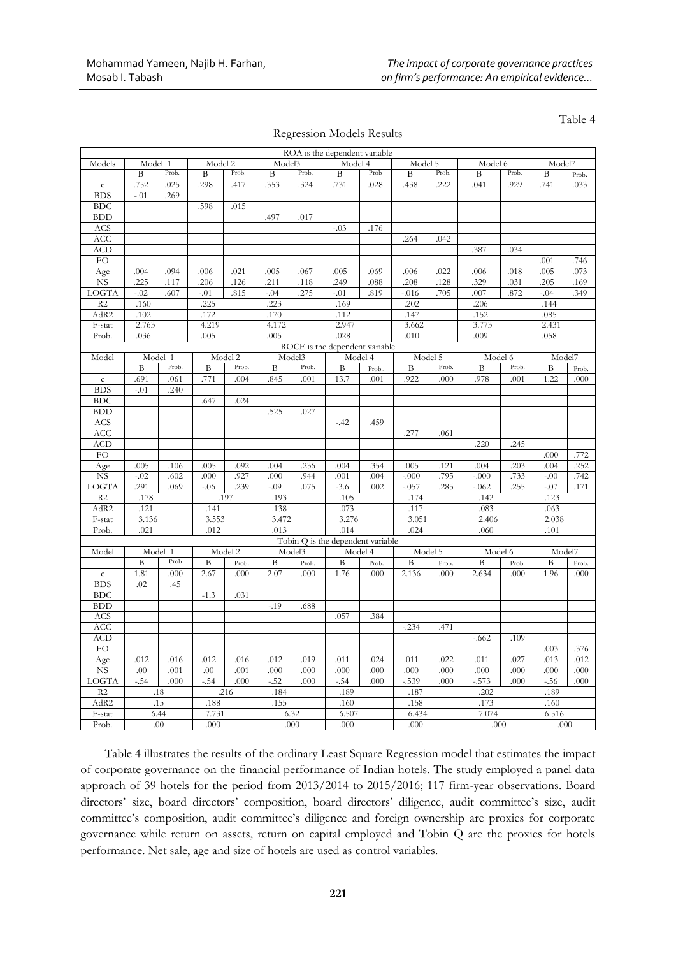Regression Models Results

Table 4

|                        |         |                 |         |         |          |        | ROA is the dependent variable                |         |          |       |         |         |              |       |
|------------------------|---------|-----------------|---------|---------|----------|--------|----------------------------------------------|---------|----------|-------|---------|---------|--------------|-------|
| Models                 | Model 1 |                 | Model 2 |         | Model3   |        | Model 4                                      |         | Model 5  |       | Model 6 |         | Model7       |       |
|                        | B       | Prob.           | B       | Prob.   | B        | Prob.  | $\, {\bf B}$                                 | Prob    | B        | Prob. | B       | Prob.   | B            | Prob. |
| $\mathsf{c}$           | .752    | .025            | .298    | .417    | .353     | .324   | .731                                         | .028    | .438     | .222  | .041    | .929    | .741         | .033  |
| <b>BDS</b>             | $-.01$  | .269            |         |         |          |        |                                              |         |          |       |         |         |              |       |
| <b>BDC</b>             |         |                 | .598    | .015    |          |        |                                              |         |          |       |         |         |              |       |
| <b>BDD</b>             |         |                 |         |         | .497     | .017   |                                              |         |          |       |         |         |              |       |
| <b>ACS</b>             |         |                 |         |         |          |        | $-.03$                                       | .176    |          |       |         |         |              |       |
| ACC                    |         |                 |         |         |          |        |                                              |         | .264     | .042  |         |         |              |       |
| <b>ACD</b>             |         |                 |         |         |          |        |                                              |         |          |       | .387    | .034    |              |       |
| ${\rm FO}$             |         |                 |         |         |          |        |                                              |         |          |       |         |         | .001         | .746  |
| Age                    | .004    | .094            | .006    | .021    | .005     | .067   | .005                                         | .069    | .006     | .022  | .006    | .018    | .005         | .073  |
| $_{\rm NS}$            | .225    | .117            | .206    | .126    | .211     | .118   | .249                                         | .088    | .208     | .128  | .329    | .031    | .205         | .169  |
| LOGTA                  | $-.02$  | .607            | $-.01$  | .815    | $-.04$   | .275   | $-.01$                                       | .819    | $-0.016$ | .705  | .007    | .872    | $-.04$       | .349  |
| R2                     | .160    |                 | .225    |         | .223     |        | .169                                         |         | .202     |       | .206    |         | .144         |       |
| AdR2                   | .102    |                 | .172    |         | $.170\,$ |        | .112                                         |         | .147     |       | .152    |         | .085         |       |
| F-stat                 | 2.763   |                 | 4.219   |         | 4.172    |        | 2.947                                        |         | 3.662    |       | 3.773   |         | 2.431        |       |
| Prob.                  | .036    |                 | .005    |         | .005     |        | .028                                         |         | .010     |       | .009    |         | .058         |       |
|                        |         |                 |         |         |          |        | ROCE is the dependent variable               |         |          |       |         |         |              |       |
| Model                  |         | Model 1         |         | Model 2 |          | Model3 |                                              | Model 4 | Model 5  |       |         | Model 6 | Model7       |       |
|                        | B       | Prob.           | B       | Prob.   | B        | Prob.  | B                                            | Prob    | B        | Prob. | B       | Prob.   | B            | Prob. |
| $\mathbf{C}$           | .691    | .061            | .771    | .004    | 845      | .001   | 13.7                                         | .001    | .922     | .000  | .978    | .001    | 1.22         | .000  |
| <b>BDS</b>             | $-.01$  | .240            |         |         |          |        |                                              |         |          |       |         |         |              |       |
| <b>BDC</b>             |         |                 | .647    | .024    |          |        |                                              |         |          |       |         |         |              |       |
| <b>BDD</b>             |         |                 |         |         | .525     | .027   |                                              |         |          |       |         |         |              |       |
| ACS                    |         |                 |         |         |          |        | $-.42$                                       | .459    |          |       |         |         |              |       |
| ACC                    |         |                 |         |         |          |        |                                              |         | .277     | .061  |         |         |              |       |
| <b>ACD</b>             |         |                 |         |         |          |        |                                              |         |          |       | .220    | .245    |              |       |
| FO                     |         |                 |         |         |          |        |                                              |         |          |       |         |         | .000         | .772  |
| Age                    | .005    | .106            | .005    | .092    | .004     | .236   | .004                                         | .354    | .005     | .121  | .004    | .203    | .004         | .252  |
| $\overline{\text{NS}}$ | $-02$   | .602            | .000    | .927    | .000     | .944   | .001                                         | .004    | $-000$   | .795  | $-.000$ | .733    | $-.00$       | .742  |
| LOGTA                  | 291     | .069            | $-.06$  | .239    | $-.09$   | .075   | $-3.6$                                       | .002    | $-.057$  | .285  | $-.062$ | .255    | $-.07$       | .171  |
|                        |         |                 |         |         |          |        |                                              |         |          |       |         |         |              |       |
| R2                     | .178    |                 |         | .197    | .193     |        | .105                                         |         | .174     |       | .142    |         | .123<br>.063 |       |
| AdR2                   | .121    |                 | .141    |         | .138     |        | .073                                         |         | .117     |       | .083    |         |              |       |
| F-stat                 | 3.136   |                 | 3.553   |         | 3.472    |        | 3.276                                        |         | 3.051    |       | 2.406   |         | 2.038        |       |
| Prob.                  | .021    |                 | .012    |         | .013     |        | .014                                         |         | .024     |       | .060    |         | .101         |       |
|                        |         |                 |         |         |          |        | Tobin Q is the dependent variable<br>Model 4 |         |          |       | Model 6 |         | Model7       |       |
| Model                  |         | Model 1<br>Prob |         | Model 2 |          | Model3 |                                              |         | Model 5  |       |         |         |              |       |
|                        | B       |                 | B       | Prob.   | B        | Prob.  | B                                            | Prob.   | B        | Prob. | B       | Prob.   | B            | Prob. |
| ${\bf c}$              | 1.81    | .000            | 2.67    | .000    | 2.07     | .000   | 1.76                                         | .000    | 2.136    | .000  | 2.634   | .000    | 1.96         | .000  |
| <b>BDS</b>             | .02     | .45             |         |         |          |        |                                              |         |          |       |         |         |              |       |
| <b>BDC</b>             |         |                 | $-1.3$  | .031    |          |        |                                              |         |          |       |         |         |              |       |
| BDD                    |         |                 |         |         | $-.19$   | .688   |                                              |         |          |       |         |         |              |       |
| <b>ACS</b>             |         |                 |         |         |          |        | .057                                         | .384    |          |       |         |         |              |       |
| <b>ACC</b>             |         |                 |         |         |          |        |                                              |         | $-.234$  | .471  |         |         |              |       |
| ACD                    |         |                 |         |         |          |        |                                              |         |          |       | $-.662$ | .109    |              |       |
| ${\rm FO}$             |         |                 |         |         |          |        |                                              |         |          |       |         |         | .003         | .376  |
| Age                    | .012    | .016            | .012    | .016    | .012     | .019   | .011                                         | .024    | .011     | .022  | .011    | .027    | .013         | .012  |
| NS                     | .00     | .001            | .00     | .001    | .000     | .000   | .000                                         | .000    | .000     | .000  | .000    | .000    | .000         | .000  |
| LOGTA                  | $-.54$  | .000            | $-.54$  | .000    | $-.52$   | .000   | $-.54$                                       | .000    | $-.539$  | .000  | $-573$  | .000    | $-.56$       | .000  |
| R2                     |         | .18             |         | .216    | .184     |        | .189                                         |         | .187     |       | .202    |         | .189         |       |
| AdR2                   |         | .15             | .188    |         | .155     |        | .160                                         |         | .158     |       | .173    |         | .160         |       |
| F-stat                 |         | 6.44            | 7.731   |         |          | 6.32   | 6.507                                        |         | 6.434    |       | 7.074   |         | 6.516        |       |
| Prob.                  |         | .00             | .000    |         |          | .000   | .000                                         |         | .000     |       | .000    |         | .000         |       |
|                        |         |                 |         |         |          |        |                                              |         |          |       |         |         |              |       |

Table 4 illustrates the results of the ordinary Least Square Regression model that estimates the impact of corporate governance on the financial performance of Indian hotels. The study employed a panel data approach of 39 hotels for the period from 2013/2014 to 2015/2016; 117 firm-year observations. Board directors' size, board directors' composition, board directors' diligence, audit committee's size, audit committee's composition, audit committee's diligence and foreign ownership are proxies for corporate governance while return on assets, return on capital employed and Tobin Q are the proxies for hotels performance. Net sale, age and size of hotels are used as control variables.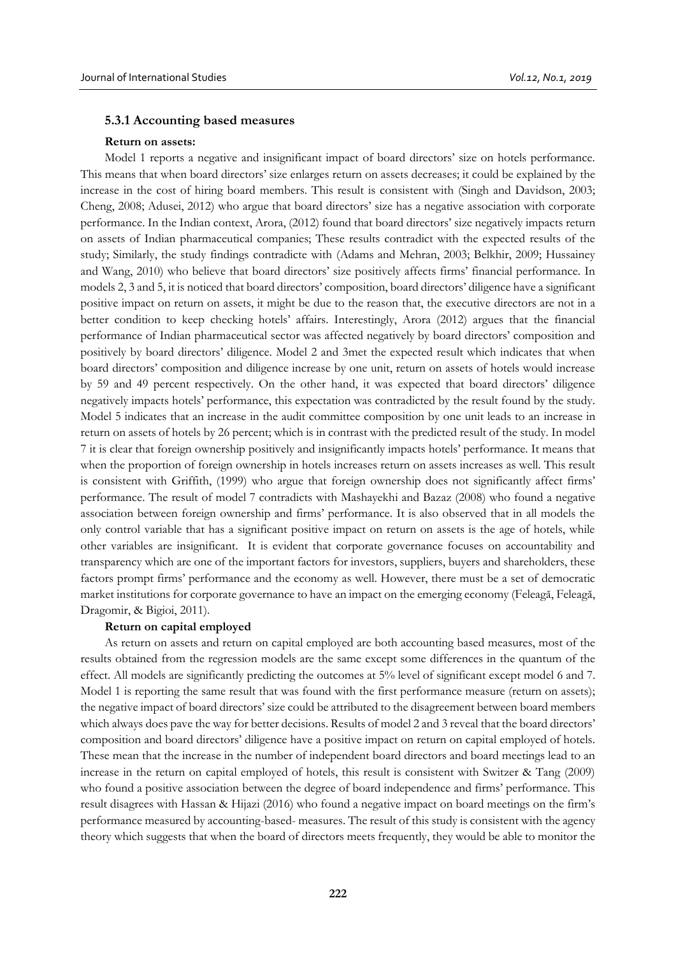#### **5.3.1 Accounting based measures**

#### **Return on assets:**

Model 1 reports a negative and insignificant impact of board directors' size on hotels performance. This means that when board directors' size enlarges return on assets decreases; it could be explained by the increase in the cost of hiring board members. This result is consistent with (Singh and Davidson, 2003; Cheng, 2008; Adusei, 2012) who argue that board directors' size has a negative association with corporate performance. In the Indian context, Arora, (2012) found that board directors' size negatively impacts return on assets of Indian pharmaceutical companies; These results contradict with the expected results of the study; Similarly, the study findings contradicte with (Adams and Mehran, 2003; Belkhir, 2009; Hussainey and Wang, 2010) who believe that board directors' size positively affects firms' financial performance. In models 2, 3 and 5, it is noticed that board directors' composition, board directors' diligence have a significant positive impact on return on assets, it might be due to the reason that, the executive directors are not in a better condition to keep checking hotels' affairs. Interestingly, Arora (2012) argues that the financial performance of Indian pharmaceutical sector was affected negatively by board directors' composition and positively by board directors' diligence. Model 2 and 3met the expected result which indicates that when board directors' composition and diligence increase by one unit, return on assets of hotels would increase by 59 and 49 percent respectively. On the other hand, it was expected that board directors' diligence negatively impacts hotels' performance, this expectation was contradicted by the result found by the study. Model 5 indicates that an increase in the audit committee composition by one unit leads to an increase in return on assets of hotels by 26 percent; which is in contrast with the predicted result of the study. In model 7 it is clear that foreign ownership positively and insignificantly impacts hotels' performance. It means that when the proportion of foreign ownership in hotels increases return on assets increases as well. This result is consistent with Griffith, (1999) who argue that foreign ownership does not significantly affect firms' performance. The result of model 7 contradicts with Mashayekhi and Bazaz (2008) who found a negative association between foreign ownership and firms' performance. It is also observed that in all models the only control variable that has a significant positive impact on return on assets is the age of hotels, while other variables are insignificant. It is evident that corporate governance focuses on accountability and transparency which are one of the important factors for investors, suppliers, buyers and shareholders, these factors prompt firms' performance and the economy as well. However, there must be a set of democratic market institutions for corporate governance to have an impact on the emerging economy (Feleagă, Feleagă, Dragomir, & Bigioi, 2011).

### **Return on capital employed**

As return on assets and return on capital employed are both accounting based measures, most of the results obtained from the regression models are the same except some differences in the quantum of the effect. All models are significantly predicting the outcomes at 5% level of significant except model 6 and 7. Model 1 is reporting the same result that was found with the first performance measure (return on assets); the negative impact of board directors' size could be attributed to the disagreement between board members which always does pave the way for better decisions. Results of model 2 and 3 reveal that the board directors' composition and board directors' diligence have a positive impact on return on capital employed of hotels. These mean that the increase in the number of independent board directors and board meetings lead to an increase in the return on capital employed of hotels, this result is consistent with Switzer & Tang (2009) who found a positive association between the degree of board independence and firms' performance. This result disagrees with Hassan & Hijazi (2016) who found a negative impact on board meetings on the firm's performance measured by accounting-based- measures. The result of this study is consistent with the agency theory which suggests that when the board of directors meets frequently, they would be able to monitor the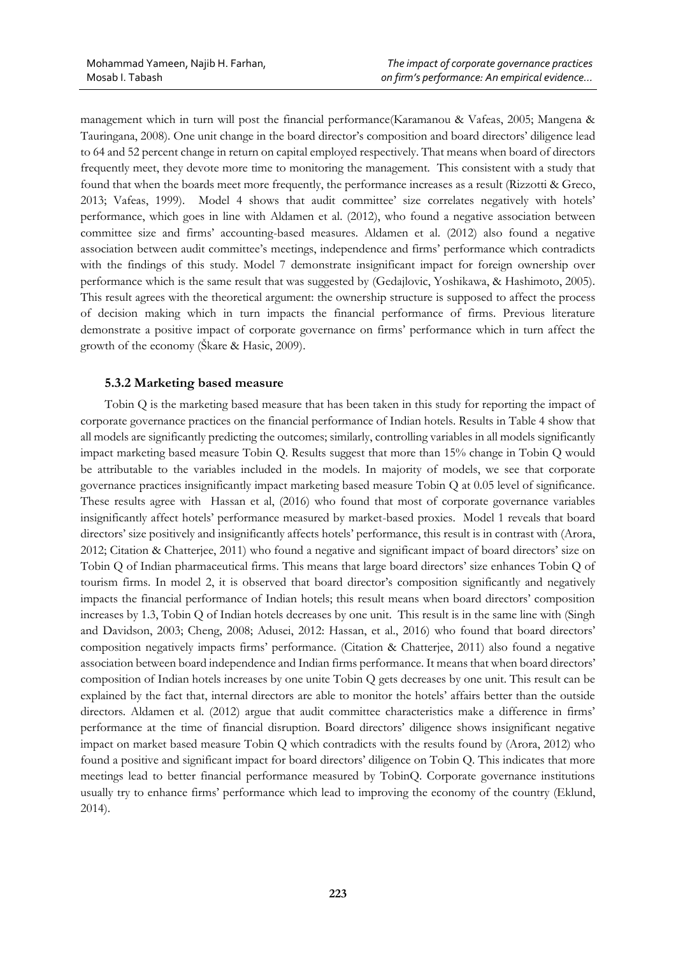management which in turn will post the financial performance(Karamanou & Vafeas, 2005; Mangena & Tauringana, 2008). One unit change in the board director's composition and board directors' diligence lead to 64 and 52 percent change in return on capital employed respectively. That means when board of directors frequently meet, they devote more time to monitoring the management. This consistent with a study that found that when the boards meet more frequently, the performance increases as a result (Rizzotti & Greco, 2013; Vafeas, 1999). Model 4 shows that audit committee' size correlates negatively with hotels' performance, which goes in line with Aldamen et al. (2012), who found a negative association between committee size and firms' accounting-based measures. Aldamen et al. (2012) also found a negative association between audit committee's meetings, independence and firms' performance which contradicts with the findings of this study. Model 7 demonstrate insignificant impact for foreign ownership over performance which is the same result that was suggested by (Gedajlovic, Yoshikawa, & Hashimoto, 2005). This result agrees with the theoretical argument: the ownership structure is supposed to affect the process of decision making which in turn impacts the financial performance of firms. Previous literature demonstrate a positive impact of corporate governance on firms' performance which in turn affect the growth of the economy (Škare & Hasic, 2009).

# **5.3.2 Marketing based measure**

Tobin Q is the marketing based measure that has been taken in this study for reporting the impact of corporate governance practices on the financial performance of Indian hotels. Results in Table 4 show that all models are significantly predicting the outcomes; similarly, controlling variables in all models significantly impact marketing based measure Tobin Q. Results suggest that more than 15% change in Tobin Q would be attributable to the variables included in the models. In majority of models, we see that corporate governance practices insignificantly impact marketing based measure Tobin Q at 0.05 level of significance. These results agree with Hassan et al, (2016) who found that most of corporate governance variables insignificantly affect hotels' performance measured by market-based proxies. Model 1 reveals that board directors' size positively and insignificantly affects hotels' performance, this result is in contrast with (Arora, 2012; Citation & Chatterjee, 2011) who found a negative and significant impact of board directors' size on Tobin Q of Indian pharmaceutical firms. This means that large board directors' size enhances Tobin Q of tourism firms. In model 2, it is observed that board director's composition significantly and negatively impacts the financial performance of Indian hotels; this result means when board directors' composition increases by 1.3, Tobin Q of Indian hotels decreases by one unit. This result is in the same line with (Singh and Davidson, 2003; Cheng, 2008; Adusei, 2012: Hassan, et al., 2016) who found that board directors' composition negatively impacts firms' performance. (Citation & Chatterjee, 2011) also found a negative association between board independence and Indian firms performance. It means that when board directors' composition of Indian hotels increases by one unite Tobin Q gets decreases by one unit. This result can be explained by the fact that, internal directors are able to monitor the hotels' affairs better than the outside directors. Aldamen et al. (2012) argue that audit committee characteristics make a difference in firms' performance at the time of financial disruption. Board directors' diligence shows insignificant negative impact on market based measure Tobin Q which contradicts with the results found by (Arora, 2012) who found a positive and significant impact for board directors' diligence on Tobin Q. This indicates that more meetings lead to better financial performance measured by TobinQ. Corporate governance institutions usually try to enhance firms' performance which lead to improving the economy of the country (Eklund, 2014).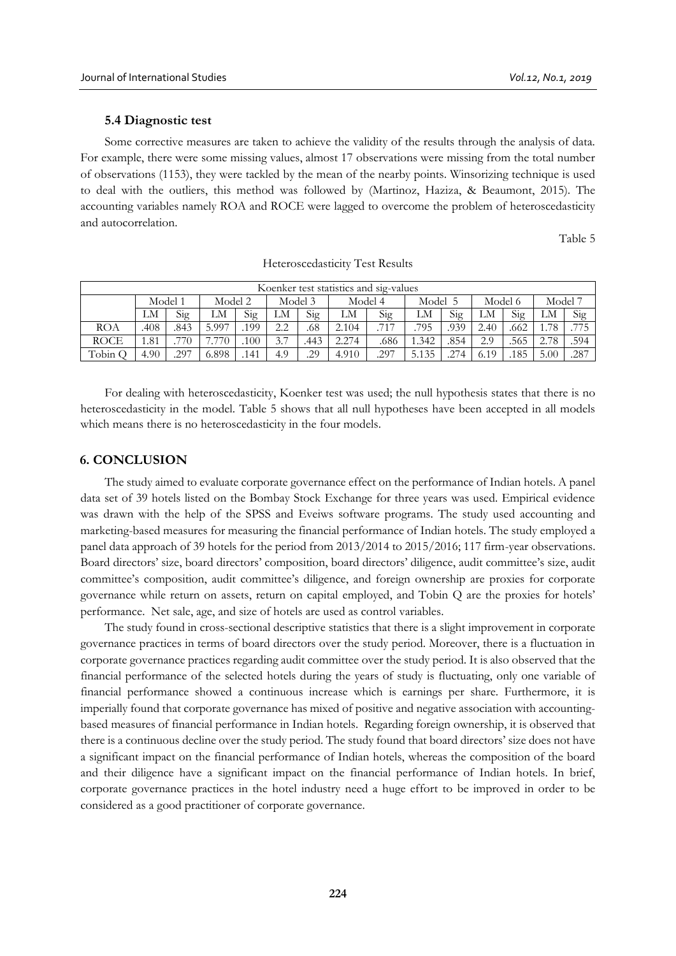### **5.4 Diagnostic test**

Some corrective measures are taken to achieve the validity of the results through the analysis of data. For example, there were some missing values, almost 17 observations were missing from the total number of observations (1153), they were tackled by the mean of the nearby points. Winsorizing technique is used to deal with the outliers, this method was followed by (Martinoz, Haziza, & Beaumont, 2015). The accounting variables namely ROA and ROCE were lagged to overcome the problem of heteroscedasticity and autocorrelation.

Table 5

| Koenker test statistics and sig-values |         |      |         |     |           |      |         |      |       |      |         |      |                 |      |
|----------------------------------------|---------|------|---------|-----|-----------|------|---------|------|-------|------|---------|------|-----------------|------|
|                                        | Model 1 |      | Model 2 |     | Model 3   |      | Model 4 |      | Model |      | Model 6 |      | Model 7         |      |
|                                        | LM      | Sig  | LM      | Sig | LM        | Sig  | LM      | Sig  | LM    | Sig  | LМ      | Sig  | LM              | Sig  |
| ROA                                    | .408    | .843 | 5.997   | 199 | っっ        | .68  | 2.104   | .717 | 795   | .939 | 2.40    | .662 | <sup>1.78</sup> | .775 |
| <b>ROCE</b>                            | 1.81    | 770  | '.770   | 100 | $\cdot$ . | .443 | 2.274   | .686 | 1.342 | .854 | 2.9     | .565 | 2.78            | .594 |
| Tobin C                                | 4.90    | .297 | 6.898   | 141 | 4.9       | .29  | 4.910   | .297 | 5.135 | 274  | 6.19    | .185 | 5.00            | .287 |

Heteroscedasticity Test Results

For dealing with heteroscedasticity, Koenker test was used; the null hypothesis states that there is no heteroscedasticity in the model. Table 5 shows that all null hypotheses have been accepted in all models which means there is no heteroscedasticity in the four models.

### **6. CONCLUSION**

The study aimed to evaluate corporate governance effect on the performance of Indian hotels. A panel data set of 39 hotels listed on the Bombay Stock Exchange for three years was used. Empirical evidence was drawn with the help of the SPSS and Eveiws software programs. The study used accounting and marketing-based measures for measuring the financial performance of Indian hotels. The study employed a panel data approach of 39 hotels for the period from 2013/2014 to 2015/2016; 117 firm-year observations. Board directors' size, board directors' composition, board directors' diligence, audit committee's size, audit committee's composition, audit committee's diligence, and foreign ownership are proxies for corporate governance while return on assets, return on capital employed, and Tobin Q are the proxies for hotels' performance. Net sale, age, and size of hotels are used as control variables.

The study found in cross-sectional descriptive statistics that there is a slight improvement in corporate governance practices in terms of board directors over the study period. Moreover, there is a fluctuation in corporate governance practices regarding audit committee over the study period. It is also observed that the financial performance of the selected hotels during the years of study is fluctuating, only one variable of financial performance showed a continuous increase which is earnings per share. Furthermore, it is imperially found that corporate governance has mixed of positive and negative association with accountingbased measures of financial performance in Indian hotels. Regarding foreign ownership, it is observed that there is a continuous decline over the study period. The study found that board directors' size does not have a significant impact on the financial performance of Indian hotels, whereas the composition of the board and their diligence have a significant impact on the financial performance of Indian hotels. In brief, corporate governance practices in the hotel industry need a huge effort to be improved in order to be considered as a good practitioner of corporate governance.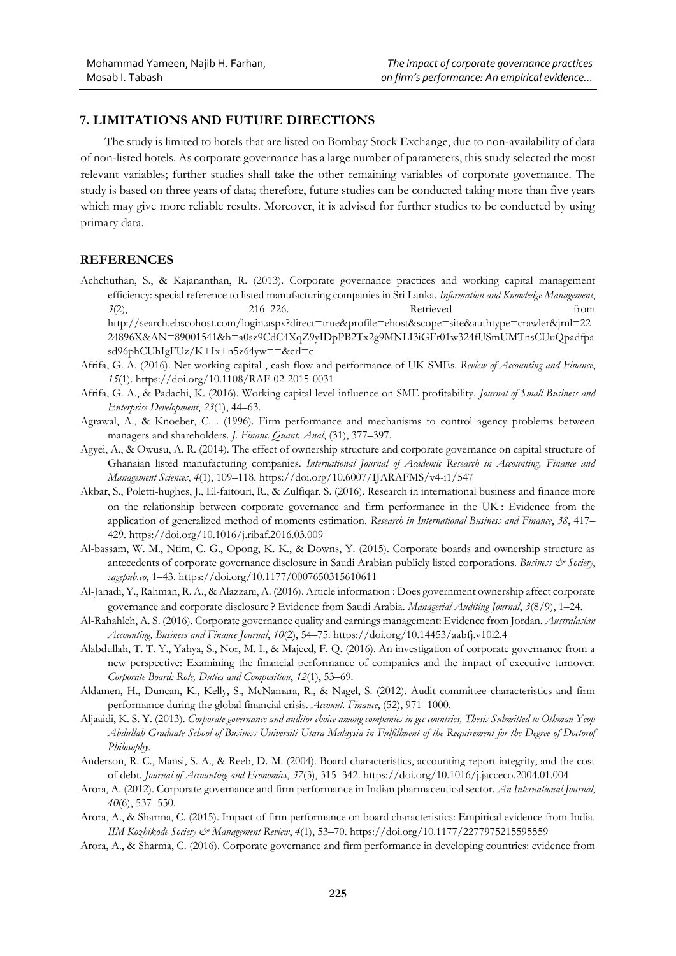# **7. LIMITATIONS AND FUTURE DIRECTIONS**

The study is limited to hotels that are listed on Bombay Stock Exchange, due to non-availability of data of non-listed hotels. As corporate governance has a large number of parameters, this study selected the most relevant variables; further studies shall take the other remaining variables of corporate governance. The study is based on three years of data; therefore, future studies can be conducted taking more than five years which may give more reliable results. Moreover, it is advised for further studies to be conducted by using primary data.

# **REFERENCES**

Achchuthan, S., & Kajananthan, R. (2013). Corporate governance practices and working capital management efficiency: special reference to listed manufacturing companies in Sri Lanka. *Information and Knowledge Management*, *3*(2), 216–226. Retrieved from http://search.ebscohost.com/login.aspx?direct=true&profile=ehost&scope=site&authtype=crawler&jrnl=22 24896X&AN=89001541&h=a0sz9CdC4XqZ9yIDpPB2Tx2g9MNLI3iGFr01w324fUSmUMTnsCUuQpadfpa

sd96phCUhIgFUz/K+Ix+n5z64yw==&crl=c

- Afrifa, G. A. (2016). Net working capital , cash flow and performance of UK SMEs. *Review of Accounting and Finance*, *15*(1). https://doi.org/10.1108/RAF-02-2015-0031
- Afrifa, G. A., & Padachi, K. (2016). Working capital level influence on SME profitability. *Journal of Small Business and Enterprise Development*, *23*(1), 44–63.
- Agrawal, A., & Knoeber, C. . (1996). Firm performance and mechanisms to control agency problems between managers and shareholders. *J. Financ. Quant. Anal*, (31), 377–397.
- Agyei, A., & Owusu, A. R. (2014). The effect of ownership structure and corporate governance on capital structure of Ghanaian listed manufacturing companies. *International Journal of Academic Research in Accounting, Finance and Management Sciences*, *4*(1), 109–118. https://doi.org/10.6007/IJARAFMS/v4-i1/547
- Akbar, S., Poletti-hughes, J., El-faitouri, R., & Zulfiqar, S. (2016). Research in international business and finance more on the relationship between corporate governance and firm performance in the UK : Evidence from the application of generalized method of moments estimation. *Research in International Business and Finance*, *38*, 417– 429. https://doi.org/10.1016/j.ribaf.2016.03.009
- Al-bassam, W. M., Ntim, C. G., Opong, K. K., & Downs, Y. (2015). Corporate boards and ownership structure as antecedents of corporate governance disclosure in Saudi Arabian publicly listed corporations. *Business & Society*, *sagepub.co*, 1–43. https://doi.org/10.1177/0007650315610611
- Al-Janadi, Y., Rahman, R. A., & Alazzani, A. (2016). Article information : Does government ownership affect corporate governance and corporate disclosure ? Evidence from Saudi Arabia. *Managerial Auditing Journal*, *3*(8/9), 1–24.
- Al-Rahahleh, A. S. (2016). Corporate governance quality and earnings management: Evidence from Jordan. *Australasian Accounting, Business and Finance Journal*, *10*(2), 54–75. https://doi.org/10.14453/aabfj.v10i2.4
- Alabdullah, T. T. Y., Yahya, S., Nor, M. I., & Majeed, F. Q. (2016). An investigation of corporate governance from a new perspective: Examining the financial performance of companies and the impact of executive turnover. *Corporate Board: Role, Duties and Composition*, *12*(1), 53–69.
- Aldamen, H., Duncan, K., Kelly, S., McNamara, R., & Nagel, S. (2012). Audit committee characteristics and firm performance during the global financial crisis. *Account. Finance*, (52), 971–1000.
- Aljaaidi, K. S. Y. (2013). *Corporate governance and auditor choice among companies in gcc countries, Thesis Submitted to Othman Yeop Abdullah Graduate School of Business Universiti Utara Malaysia in Fulfillment of the Requirement for the Degree of Doctorof Philosophy*.
- Anderson, R. C., Mansi, S. A., & Reeb, D. M. (2004). Board characteristics, accounting report integrity, and the cost of debt. *Journal of Accounting and Economics*, *37*(3), 315–342. https://doi.org/10.1016/j.jacceco.2004.01.004
- Arora, A. (2012). Corporate governance and firm performance in Indian pharmaceutical sector. *An International Journal*, *40*(6), 537–550.
- Arora, A., & Sharma, C. (2015). Impact of firm performance on board characteristics: Empirical evidence from India. *IIM Kozhikode Society & Management Review*, *4*(1), 53–70. https://doi.org/10.1177/2277975215595559
- Arora, A., & Sharma, C. (2016). Corporate governance and firm performance in developing countries: evidence from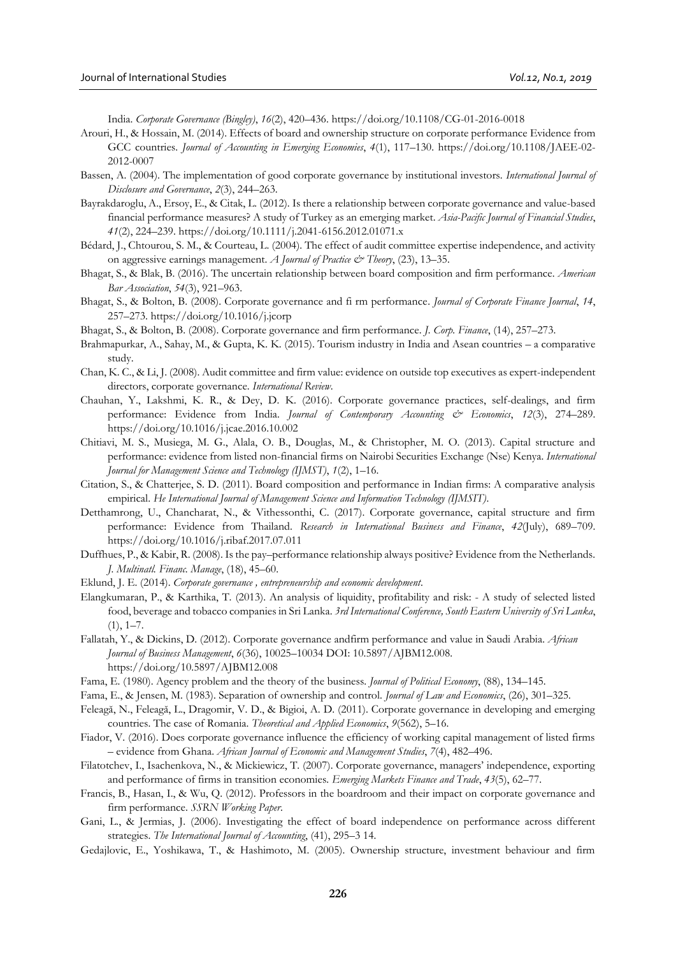India. *Corporate Governance (Bingley)*, *16*(2), 420–436. https://doi.org/10.1108/CG-01-2016-0018

- Arouri, H., & Hossain, M. (2014). Effects of board and ownership structure on corporate performance Evidence from GCC countries. *Journal of Accounting in Emerging Economies*, *4*(1), 117–130. https://doi.org/10.1108/JAEE-02- 2012-0007
- Bassen, A. (2004). The implementation of good corporate governance by institutional investors. *International Journal of Disclosure and Governance*, *2*(3), 244–263.
- Bayrakdaroglu, A., Ersoy, E., & Citak, L. (2012). Is there a relationship between corporate governance and value-based financial performance measures? A study of Turkey as an emerging market. *Asia-Pacific Journal of Financial Studies*, *41*(2), 224–239. https://doi.org/10.1111/j.2041-6156.2012.01071.x
- Bédard, J., Chtourou, S. M., & Courteau, L. (2004). The effect of audit committee expertise independence, and activity on aggressive earnings management. *A Journal of Practice & Theory*, (23), 13–35.
- Bhagat, S., & Blak, B. (2016). The uncertain relationship between board composition and firm performance. *American Bar Association*, *54*(3), 921–963.
- Bhagat, S., & Bolton, B. (2008). Corporate governance and fi rm performance. *Journal of Corporate Finance Journal*, *14*, 257–273. https://doi.org/10.1016/j.jcorp
- Bhagat, S., & Bolton, B. (2008). Corporate governance and firm performance. *J. Corp. Finance*, (14), 257–273.
- Brahmapurkar, A., Sahay, M., & Gupta, K. K. (2015). Tourism industry in India and Asean countries a comparative study.
- Chan, K. C., & Li, J. (2008). Audit committee and firm value: evidence on outside top executives as expert-independent directors, corporate governance. *International Review*.
- Chauhan, Y., Lakshmi, K. R., & Dey, D. K. (2016). Corporate governance practices, self-dealings, and firm performance: Evidence from India. *Journal of Contemporary Accounting & Economics*, *12*(3), 274–289. https://doi.org/10.1016/j.jcae.2016.10.002
- Chitiavi, M. S., Musiega, M. G., Alala, O. B., Douglas, M., & Christopher, M. O. (2013). Capital structure and performance: evidence from listed non-financial firms on Nairobi Securities Exchange (Nse) Kenya. *International Journal for Management Science and Technology (IJMST)*, *1*(2), 1–16.
- Citation, S., & Chatterjee, S. D. (2011). Board composition and performance in Indian firms: A comparative analysis empirical. *He International Journal of Management Science and Information Technology (IJMSIT)*.
- Detthamrong, U., Chancharat, N., & Vithessonthi, C. (2017). Corporate governance, capital structure and firm performance: Evidence from Thailand. *Research in International Business and Finance*, *42*(July), 689–709. https://doi.org/10.1016/j.ribaf.2017.07.011
- Duffhues, P., & Kabir, R. (2008). Is the pay–performance relationship always positive? Evidence from the Netherlands. *J. Multinatl. Financ. Manage*, (18), 45–60.
- Eklund, J. E. (2014). *Corporate governance , entrepreneurship and economic development*.
- Elangkumaran, P., & Karthika, T. (2013). An analysis of liquidity, profitability and risk: A study of selected listed food, beverage and tobacco companies in Sri Lanka. *3rd International Conference, South Eastern University of Sri Lanka*,  $(1), 1-7.$
- Fallatah, Y., & Dickins, D. (2012). Corporate governance andfirm performance and value in Saudi Arabia. *African Journal of Business Management*, *6*(36), 10025–10034 DOI: 10.5897/AJBM12.008. https://doi.org/10.5897/AJBM12.008
- Fama, E. (1980). Agency problem and the theory of the business. *Journal of Political Economy*, (88), 134–145.
- Fama, E., & Jensen, M. (1983). Separation of ownership and control. *Journal of Law and Economics*, (26), 301–325.
- Feleagă, N., Feleagă, L., Dragomir, V. D., & Bigioi, A. D. (2011). Corporate governance in developing and emerging countries. The case of Romania. *Theoretical and Applied Economics*, *9*(562), 5–16.
- Fiador, V. (2016). Does corporate governance influence the efficiency of working capital management of listed firms – evidence from Ghana. *African Journal of Economic and Management Studies*, *7*(4), 482–496.
- Filatotchev, I., Isachenkova, N., & Mickiewicz, T. (2007). Corporate governance, managers' independence, exporting and performance of firms in transition economies. *Emerging Markets Finance and Trade*, *43*(5), 62–77.
- Francis, B., Hasan, I., & Wu, Q. (2012). Professors in the boardroom and their impact on corporate governance and firm performance. *SSRN Working Paper*.
- Gani, L., & Jermias, J. (2006). Investigating the effect of board independence on performance across different strategies. *The International Journal of Accounting*, (41), 295–3 14.
- Gedajlovic, E., Yoshikawa, T., & Hashimoto, M. (2005). Ownership structure, investment behaviour and firm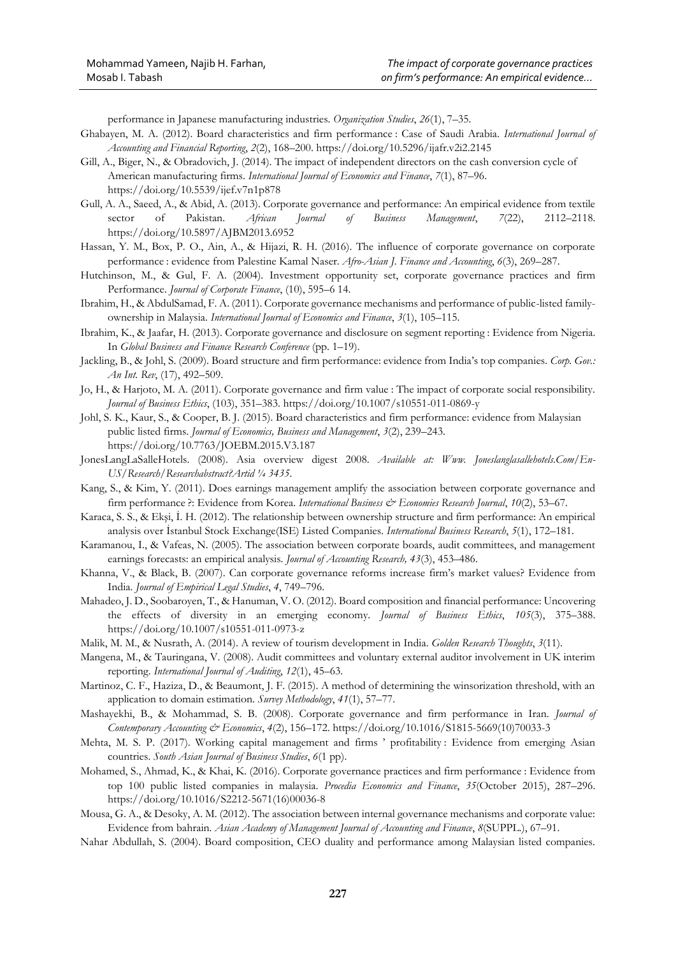performance in Japanese manufacturing industries. *Organization Studies*, *26*(1), 7–35.

- Ghabayen, M. A. (2012). Board characteristics and firm performance : Case of Saudi Arabia. *International Journal of Accounting and Financial Reporting*, *2*(2), 168–200. https://doi.org/10.5296/ijafr.v2i2.2145
- Gill, A., Biger, N., & Obradovich, J. (2014). The impact of independent directors on the cash conversion cycle of American manufacturing firms. *International Journal of Economics and Finance*, *7*(1), 87–96. https://doi.org/10.5539/ijef.v7n1p878
- Gull, A. A., Saeed, A., & Abid, A. (2013). Corporate governance and performance: An empirical evidence from textile sector of Pakistan. *African Journal of Business Management*, *7*(22), 2112–2118. https://doi.org/10.5897/AJBM2013.6952
- Hassan, Y. M., Box, P. O., Ain, A., & Hijazi, R. H. (2016). The influence of corporate governance on corporate performance : evidence from Palestine Kamal Naser. *Afro-Asian J. Finance and Accounting*, *6*(3), 269–287.
- Hutchinson, M., & Gul, F. A. (2004). Investment opportunity set, corporate governance practices and firm Performance. *Journal of Corporate Finance*, (10), 595–6 14.
- Ibrahim, H., & AbdulSamad, F. A. (2011). Corporate governance mechanisms and performance of public-listed familyownership in Malaysia. *International Journal of Economics and Finance*, *3*(1), 105–115.
- Ibrahim, K., & Jaafar, H. (2013). Corporate governance and disclosure on segment reporting : Evidence from Nigeria. In *Global Business and Finance Research Conference* (pp. 1–19).
- Jackling, B., & Johl, S. (2009). Board structure and firm performance: evidence from India's top companies. *Corp. Gov.: An Int. Rev*, (17), 492–509.
- Jo, H., & Harjoto, M. A. (2011). Corporate governance and firm value : The impact of corporate social responsibility. *Journal of Business Ethics*, (103), 351–383. https://doi.org/10.1007/s10551-011-0869-y
- Johl, S. K., Kaur, S., & Cooper, B. J. (2015). Board characteristics and firm performance: evidence from Malaysian public listed firms. *Journal of Economics, Business and Management*, *3*(2), 239–243. https://doi.org/10.7763/JOEBM.2015.V3.187
- JonesLangLaSalleHotels. (2008). Asia overview digest 2008. *Available at: Www. Joneslanglasallehotels.Com/En-US/Research/Researchabstract?Artid ¼ 3435*.
- Kang, S., & Kim, Y. (2011). Does earnings management amplify the association between corporate governance and firm performance ?: Evidence from Korea. *International Business & Economies Research Journal*, *10*(2), 53–67.
- Karaca, S. S., & Ekşi, İ. H. (2012). The relationship between ownership structure and firm performance: An empirical analysis over İstanbul Stock Exchange(ISE) Listed Companies. *International Business Research*, *5*(1), 172–181.
- Karamanou, I., & Vafeas, N. (2005). The association between corporate boards, audit committees, and management earnings forecasts: an empirical analysis. *Journal of Accounting Research, 43*(3), 453–486.
- Khanna, V., & Black, B. (2007). Can corporate governance reforms increase firm's market values? Evidence from India. *Journal of Empirical Legal Studies*, *4*, 749–796.
- Mahadeo, J. D., Soobaroyen, T., & Hanuman, V. O. (2012). Board composition and financial performance: Uncovering the effects of diversity in an emerging economy. *Journal of Business Ethics*, *105*(3), 375–388. https://doi.org/10.1007/s10551-011-0973-z
- Malik, M. M., & Nusrath, A. (2014). A review of tourism development in India. *Golden Research Thoughts*, *3*(11).
- Mangena, M., & Tauringana, V. (2008). Audit committees and voluntary external auditor involvement in UK interim reporting. *International Journal of Auditing*, *12*(1), 45–63.
- Martinoz, C. F., Haziza, D., & Beaumont, J. F. (2015). A method of determining the winsorization threshold, with an application to domain estimation. *Survey Methodology*, *41*(1), 57–77.
- Mashayekhi, B., & Mohammad, S. B. (2008). Corporate governance and firm performance in Iran. *Journal of Contemporary Accounting & Economics*, *4*(2), 156–172. https://doi.org/10.1016/S1815-5669(10)70033-3
- Mehta, M. S. P. (2017). Working capital management and firms ' profitability : Evidence from emerging Asian countries. *South Asian Journal of Business Studies*, *6*(1 pp).
- Mohamed, S., Ahmad, K., & Khai, K. (2016). Corporate governance practices and firm performance : Evidence from top 100 public listed companies in malaysia. *Procedia Economics and Finance*, *35*(October 2015), 287–296. https://doi.org/10.1016/S2212-5671(16)00036-8
- Mousa, G. A., & Desoky, A. M. (2012). The association between internal governance mechanisms and corporate value: Evidence from bahrain. *Asian Academy of Management Journal of Accounting and Finance*, *8*(SUPPL.), 67–91.
- Nahar Abdullah, S. (2004). Board composition, CEO duality and performance among Malaysian listed companies.